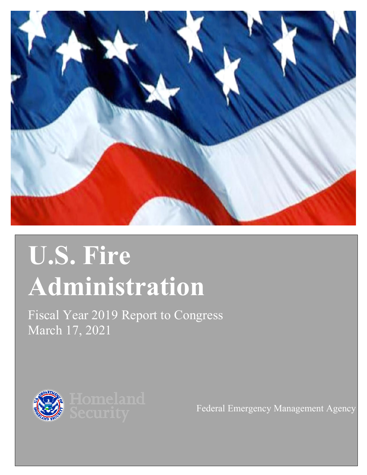

# **U.S. Fire Administration**

Fiscal Year 2019 Report to Congress March 17, 2021



Federal Emergency Management Agency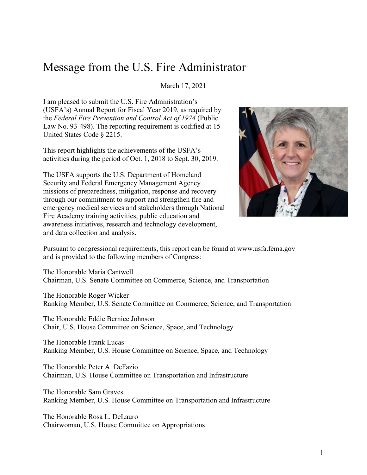# Message from the U.S. Fire Administrator

March 17, 2021

I am pleased to submit the U.S. Fire Administration's (USFA's) Annual Report for Fiscal Year 2019, as required by the *Federal Fire Prevention and Control Act of 1974* (Public Law No. 93-498). The reporting requirement is codified at 15 United States Code § 2215.

This report highlights the achievements of the USFA's activities during the period of Oct. 1, 2018 to Sept. 30, 2019.

The USFA supports the U.S. Department of Homeland Security and Federal Emergency Management Agency missions of preparedness, mitigation, response and recovery through our commitment to support and strengthen fire and emergency medical services and stakeholders through National Fire Academy training activities, public education and awareness initiatives, research and technology development, and data collection and analysis.



Pursuant to congressional requirements, this report can be found at [www.usfa.fema.gov](http://www.usfa.fema.gov/)  and is provided to the following members of Congress:

The Honorable Maria Cantwell Chairman, U.S. Senate Committee on Commerce, Science, and Transportation

The Honorable Roger Wicker Ranking Member, U.S. Senate Committee on Commerce, Science, and Transportation

The Honorable Eddie Bernice Johnson Chair, U.S. House Committee on Science, Space, and Technology

The Honorable Frank Lucas Ranking Member, U.S. House Committee on Science, Space, and Technology

The Honorable Peter A. DeFazio Chairman, U.S. House Committee on Transportation and Infrastructure

The Honorable Sam Graves Ranking Member, U.S. House Committee on Transportation and Infrastructure

The Honorable Rosa L. DeLauro Chairwoman, U.S. House Committee on Appropriations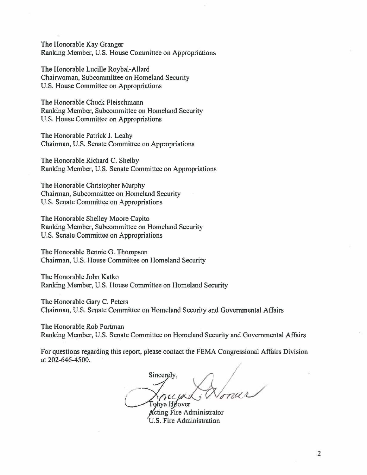The Honorable Kay Granger Ranking Member, U.S. House Committee on Appropriations

The Honorable Lucille Roybal-Allard Chairwoman, Subcommittee on Homeland Security U.S. House Committee on Appropriations

The Honorable Chuck Fleischmann Ranking Member, Subcommittee on Homeland Security U.S. House Committee on Appropriations

The Honorable Patrick J. Leahy Chairman, U.S. Senate Committee on Appropriations

The Honorable Richard C. Shelby Ranking Member, U.S. Senate Committee on Appropriations

The Honorable Christopher Murphy Chairman, Subcommittee on Homeland Security U.S. Senate Committee on Appropriations

The Honorable Shelley Moore Capito Ranking Member, Subcommittee on Homeland Security U.S. Senate Committee on Appropriations

The Honorable Bennie G. Thompson Chairman, U.S. House Committee on Homeland Security

The Honorable John Katko Ranking Member, U.S. House Committee on Homeland Security

The Honorable Gary C. Peters Chairman, U.S. Senate Committee on Homeland Security and Governmental Affairs

The Honorable Rob Portman Ranking Member, U.S. Senate Committee on Homeland Security and Governmental Affairs

For questions regarding this report, please contact the FEMA Congressional Affairs Division at 202-646-4500.

**Sincerely,** *rice parts donner* Tohya Hoover

**Acting Fire Administrator** U.S. Fire Administration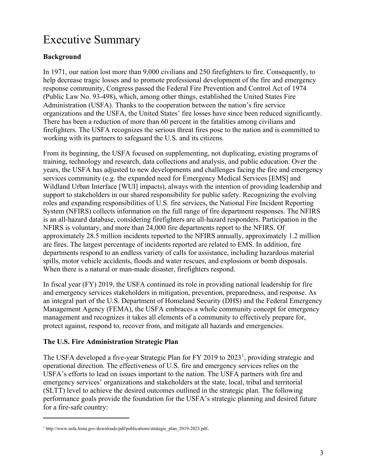# Executive Summary

#### **Background**

In 1971, our nation lost more than 9,000 civilians and 250 firefighters to fire. Consequently, to help decrease tragic losses and to promote professional development of the fire and emergency response community, Congress passed the Federal Fire Prevention and Control Act of 1974 (Public Law No. 93-498), which, among other things, established the United States Fire Administration (USFA). Thanks to the cooperation between the nation's fire service organizations and the USFA, the United States' fire losses have since been reduced significantly. There has been a reduction of more than 60 percent in the fatalities among civilians and firefighters. The USFA recognizes the serious threat fires pose to the nation and is committed to working with its partners to safeguard the U.S. and its citizens.

From its beginning, the USFA focused on supplementing, not duplicating, existing programs of training, technology and research, data collections and analysis, and public education. Over the years, the USFA has adjusted to new developments and challenges facing the fire and emergency services community (e.g. the expanded need for Emergency Medical Services [EMS] and Wildland Urban Interface [WUI] impacts), always with the intention of providing leadership and support to stakeholders in our shared responsibility for public safety. Recognizing the evolving roles and expanding responsibilities of U.S. fire services, the National Fire Incident Reporting System (NFIRS) collects information on the full range of fire department responses. The NFIRS is an all-hazard database, considering firefighters are all-hazard responders. Participation in the NFIRS is voluntary, and more than 24,000 fire departments report to the NFIRS. Of approximately 28.5 million incidents reported to the NFIRS annually, approximately 1.2 million are fires. The largest percentage of incidents reported are related to EMS. In addition, fire departments respond to an endless variety of calls for assistance, including hazardous material spills, motor vehicle accidents, floods and water rescues, and explosions or bomb disposals. When there is a natural or man-made disaster, firefighters respond.

In fiscal year (FY) 2019, the USFA continued its role in providing national leadership for fire and emergency services stakeholders in mitigation, prevention, preparedness, and response. As an integral part of the U.S. Department of Homeland Security (DHS) and the Federal Emergency Management Agency (FEMA), the USFA embraces a whole community concept for emergency management and recognizes it takes all elements of a community to effectively prepare for, protect against, respond to, recover from, and mitigate all hazards and emergencies.

#### **The U.S. Fire Administration Strategic Plan**

The USFA developed a five-year Strategic Plan for FY 20[1](#page-3-0)9 to 2023<sup>1</sup>, providing strategic and operational direction. The effectiveness of U.S. fire and emergency services relies on the USFA's efforts to lead on issues important to the nation. The USFA partners with fire and emergency services' organizations and stakeholders at the state, local, tribal and territorial (SLTT) level to achieve the desired outcomes outlined in the strategic plan. The following performance goals provide the foundation for the USFA's strategic planning and desired future for a fire-safe country:

<span id="page-3-0"></span><sup>&</sup>lt;sup>1</sup> [http://www.usfa.fema.gov/downloads/pdf/publications/strategic\\_plan\\_2019-2023.pdf](http://www.usfa.fema.gov/downloads/pdf/publications/strategic_plan_2019-2023.pdf).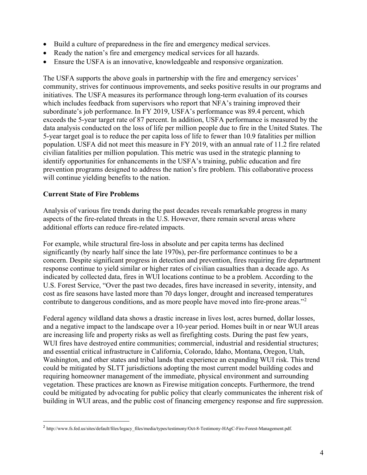- Build a culture of preparedness in the fire and emergency medical services.
- Ready the nation's fire and emergency medical services for all hazards.
- Ensure the USFA is an innovative, knowledgeable and responsive organization.

The USFA supports the above goals in partnership with the fire and emergency services' community, strives for continuous improvements, and seeks positive results in our programs and initiatives. The USFA measures its performance through long-term evaluation of its courses which includes feedback from supervisors who report that NFA's training improved their subordinate's job performance. In FY 2019, USFA's performance was 89.4 percent, which exceeds the 5-year target rate of 87 percent. In addition, USFA performance is measured by the data analysis conducted on the loss of life per million people due to fire in the United States. The 5-year target goal is to reduce the per capita loss of life to fewer than 10.9 fatalities per million population. USFA did not meet this measure in FY 2019, with an annual rate of 11.2 fire related civilian fatalities per million population. This metric was used in the strategic planning to identify opportunities for enhancements in the USFA's training, public education and fire prevention programs designed to address the nation's fire problem. This collaborative process will continue yielding benefits to the nation.

#### **Current State of Fire Problems**

Analysis of various fire trends during the past decades reveals remarkable progress in many aspects of the fire-related threats in the U.S. However, there remain several areas where additional efforts can reduce fire-related impacts.

For example, while structural fire-loss in absolute and per capita terms has declined significantly (by nearly half since the late 1970s), per-fire performance continues to be a concern. Despite significant progress in detection and prevention, fires requiring fire department response continue to yield similar or higher rates of civilian casualties than a decade ago. As indicated by collected data, fires in WUI locations continue to be a problem. According to the U.S. Forest Service, "Over the past two decades, fires have increased in severity, intensity, and cost as fire seasons have lasted more than 70 days longer, drought and increased temperatures contribute to dangerous conditions, and as more people have moved into fire-prone areas."<sup>[2](#page-4-0)</sup>

Federal agency wildland data shows a drastic increase in lives lost, acres burned, dollar losses, and a negative impact to the landscape over a 10-year period. Homes built in or near WUI areas are increasing life and property risks as well as firefighting costs. During the past few years, WUI fires have destroyed entire communities; commercial, industrial and residential structures; and essential critical infrastructure in California, Colorado, Idaho, Montana, Oregon, Utah, Washington, and other states and tribal lands that experience an expanding WUI risk. This trend could be mitigated by SLTT jurisdictions adopting the most current model building codes and requiring homeowner management of the immediate, physical environment and surrounding vegetation. These practices are known as Firewise mitigation concepts. Furthermore, the trend could be mitigated by advocating for public policy that clearly communicates the inherent risk of building in WUI areas, and the public cost of financing emergency response and fire suppression.

<span id="page-4-0"></span><sup>2</sup> [http://www.fs.fed.us/sites/default/files/legacy\\_files/media/types/testimony/Oct-8-Testimony-HAgC-Fire-Forest-Management.pdf.](http://www.fs.fed.us/sites/default/files/legacy_files/media/types/testimony/Oct-8-Testimony-HAgC-Fire-Forest-Management.pdf.)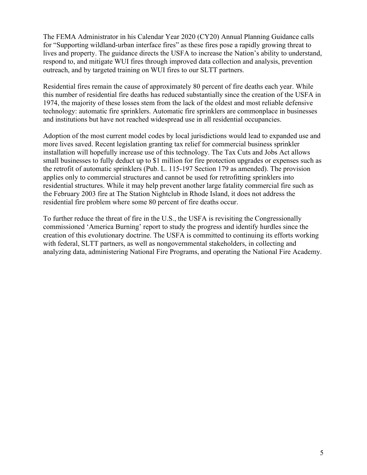The FEMA Administrator in his Calendar Year 2020 (CY20) Annual Planning Guidance calls for "Supporting wildland-urban interface fires" as these fires pose a rapidly growing threat to lives and property. The guidance directs the USFA to increase the Nation's ability to understand, respond to, and mitigate WUI fires through improved data collection and analysis, prevention outreach, and by targeted training on WUI fires to our SLTT partners.

Residential fires remain the cause of approximately 80 percent of fire deaths each year. While this number of residential fire deaths has reduced substantially since the creation of the USFA in 1974, the majority of these losses stem from the lack of the oldest and most reliable defensive technology: automatic fire sprinklers. Automatic fire sprinklers are commonplace in businesses and institutions but have not reached widespread use in all residential occupancies.

Adoption of the most current model codes by local jurisdictions would lead to expanded use and more lives saved. Recent legislation granting tax relief for commercial business sprinkler installation will hopefully increase use of this technology. The Tax Cuts and Jobs Act allows small businesses to fully deduct up to \$1 million for fire protection upgrades or expenses such as the retrofit of automatic sprinklers (Pub. L. 115-197 Section 179 as amended). The provision applies only to commercial structures and cannot be used for retrofitting sprinklers into residential structures. While it may help prevent another large fatality commercial fire such as the February 2003 fire at The Station Nightclub in Rhode Island, it does not address the residential fire problem where some 80 percent of fire deaths occur.

To further reduce the threat of fire in the U.S., the USFA is revisiting the Congressionally commissioned 'America Burning' report to study the progress and identify hurdles since the creation of this evolutionary doctrine. The USFA is committed to continuing its efforts working with federal, SLTT partners, as well as nongovernmental stakeholders, in collecting and analyzing data, administering National Fire Programs, and operating the National Fire Academy.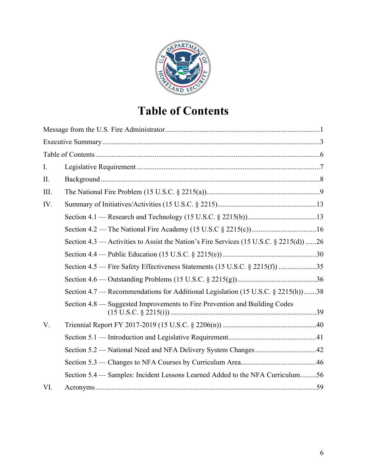

# **Table of Contents**

| I.   |                                                                                        |  |
|------|----------------------------------------------------------------------------------------|--|
| II.  |                                                                                        |  |
| III. |                                                                                        |  |
| IV.  |                                                                                        |  |
|      |                                                                                        |  |
|      |                                                                                        |  |
|      | Section 4.3 — Activities to Assist the Nation's Fire Services (15 U.S.C. § 2215(d)) 26 |  |
|      |                                                                                        |  |
|      | Section 4.5 – Fire Safety Effectiveness Statements (15 U.S.C. § 2215(f)) 35            |  |
|      |                                                                                        |  |
|      | Section 4.7 — Recommendations for Additional Legislation (15 U.S.C. § 2215(h) …38      |  |
|      | Section 4.8 — Suggested Improvements to Fire Prevention and Building Codes             |  |
| V.   |                                                                                        |  |
|      |                                                                                        |  |
|      |                                                                                        |  |
|      |                                                                                        |  |
|      | Section 5.4 – Samples: Incident Lessons Learned Added to the NFA Curriculum56          |  |
| VI.  |                                                                                        |  |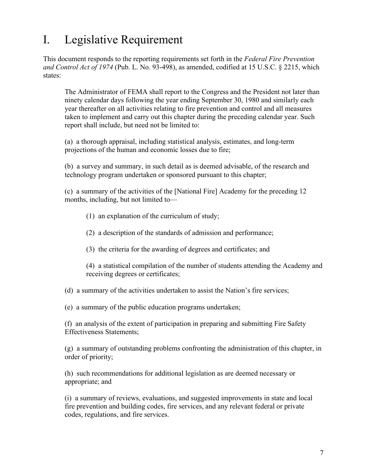# I. Legislative Requirement

This document responds to the reporting requirements set forth in the *Federal Fire Prevention and Control Act of 1974* (Pub. L. No. 93-498), as amended, codified at 15 U.S.C. § 2215, which states:

The Administrator of FEMA shall report to the Congress and the President not later than ninety calendar days following the year ending September 30, 1980 and similarly each year thereafter on all activities relating to fire prevention and control and all measures taken to implement and carry out this chapter during the preceding calendar year. Such report shall include, but need not be limited to:

(a) a thorough appraisal, including statistical analysis, estimates, and long-term projections of the human and economic losses due to fire;

(b) a survey and summary, in such detail as is deemed advisable, of the research and technology program undertaken or sponsored pursuant to this chapter;

(c) a summary of the activities of the [National Fire] Academy for the preceding 12 months, including, but not limited to—

(1) an explanation of the curriculum of study;

(2) a description of the standards of admission and performance;

(3) the criteria for the awarding of degrees and certificates; and

(4) a statistical compilation of the number of students attending the Academy and receiving degrees or certificates;

(d) a summary of the activities undertaken to assist the Nation's fire services;

(e) a summary of the public education programs undertaken;

(f) an analysis of the extent of participation in preparing and submitting Fire Safety Effectiveness Statements;

(g) a summary of outstanding problems confronting the administration of this chapter, in order of priority;

(h) such recommendations for additional legislation as are deemed necessary or appropriate; and

(i) a summary of reviews, evaluations, and suggested improvements in state and local fire prevention and building codes, fire services, and any relevant federal or private codes, regulations, and fire services.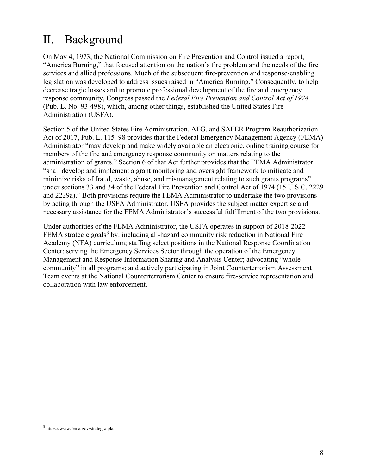# II. Background

On May 4, 1973, the National Commission on Fire Prevention and Control issued a report, "America Burning," that focused attention on the nation's fire problem and the needs of the fire services and allied professions. Much of the subsequent fire-prevention and response-enabling legislation was developed to address issues raised in "America Burning." Consequently, to help decrease tragic losses and to promote professional development of the fire and emergency response community, Congress passed the *Federal Fire Prevention and Control Act of 1974*  (Pub. L. No. 93-498), which, among other things, established the United States Fire Administration (USFA).

Section 5 of the United States Fire Administration, AFG, and SAFER Program Reauthorization Act of 2017, Pub. L. 115–98 provides that the Federal Emergency Management Agency (FEMA) Administrator "may develop and make widely available an electronic, online training course for members of the fire and emergency response community on matters relating to the administration of grants." Section 6 of that Act further provides that the FEMA Administrator "shall develop and implement a grant monitoring and oversight framework to mitigate and minimize risks of fraud, waste, abuse, and mismanagement relating to such grants programs" under sections 33 and 34 of the Federal Fire Prevention and Control Act of 1974 (15 U.S.C. 2229 and 2229a)." Both provisions require the FEMA Administrator to undertake the two provisions by acting through the USFA Administrator. USFA provides the subject matter expertise and necessary assistance for the FEMA Administrator's successful fulfillment of the two provisions.

Under authorities of the FEMA Administrator, the USFA operates in support of 2018-2022 FEMA strategic goals<sup>[3](#page-8-0)</sup> by: including all-hazard community risk reduction in National Fire Academy (NFA) curriculum; staffing select positions in the National Response Coordination Center; serving the Emergency Services Sector through the operation of the Emergency Management and Response Information Sharing and Analysis Center; advocating "whole community" in all programs; and actively participating in Joint Counterterrorism Assessment Team events at the National Counterterrorism Center to ensure fire-service representation and collaboration with law enforcement.

<span id="page-8-0"></span><sup>3</sup> https://www.fema.gov/strategic-plan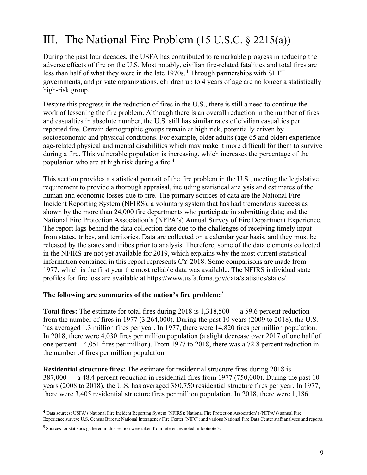# III. The National Fire Problem (15 U.S.C. § 2215(a))

During the past four decades, the USFA has contributed to remarkable progress in reducing the adverse effects of fire on the U.S. Most notably, civilian fire-related fatalities and total fires are less than half of what they were in the late 1970s.<sup>[4](#page-9-0)</sup> Through partnerships with SLTT governments, and private organizations, children up to 4 years of age are no longer a statistically high-risk group.

Despite this progress in the reduction of fires in the U.S., there is still a need to continue the work of lessening the fire problem. Although there is an overall reduction in the number of fires and casualties in absolute number, the U.S. still has similar rates of civilian casualties per reported fire. Certain demographic groups remain at high risk, potentially driven by socioeconomic and physical conditions. For example, older adults (age 65 and older) experience age-related physical and mental disabilities which may make it more difficult for them to survive during a fire. This vulnerable population is increasing, which increases the percentage of the population who are at high risk during a fire.<sup>4</sup>

This section provides a statistical portrait of the fire problem in the U.S., meeting the legislative requirement to provide a thorough appraisal, including statistical analysis and estimates of the human and economic losses due to fire. The primary sources of data are the National Fire Incident Reporting System (NFIRS), a voluntary system that has had tremendous success as shown by the more than 24,000 fire departments who participate in submitting data; and the National Fire Protection Association's (NFPA's) Annual Survey of Fire Department Experience. The report lags behind the data collection date due to the challenges of receiving timely input from states, tribes, and territories. Data are collected on a calendar year basis, and they must be released by the states and tribes prior to analysis. Therefore, some of the data elements collected in the NFIRS are not yet available for 2019, which explains why the most current statistical information contained in this report represents CY 2018. Some comparisons are made from 1977, which is the first year the most reliable data was available. The NFIRS individual state profiles for fire loss are available at [https://www.usfa.fema.gov/data/statistics/states/.](https://www.usfa.fema.gov/data/statistics/states/)

#### **The following are summaries of the nation's fire problem:**[5](#page-9-1)

**Total fires:** The estimate for total fires during 2018 is 1,318,500 — a 59.6 percent reduction from the number of fires in 1977 (3,264,000). During the past 10 years (2009 to 2018), the U.S. has averaged 1.3 million fires per year. In 1977, there were 14,820 fires per million population. In 2018, there were 4,030 fires per million population (a slight decrease over 2017 of one half of one percent – 4,051 fires per million). From 1977 to 2018, there was a 72.8 percent reduction in the number of fires per million population.

**Residential structure fires:** The estimate for residential structure fires during 2018 is 387,000 — a 48.4 percent reduction in residential fires from 1977 (750,000). During the past 10 years (2008 to 2018), the U.S. has averaged 380,750 residential structure fires per year. In 1977, there were 3,405 residential structure fires per million population. In 2018, there were 1,186

<span id="page-9-0"></span><sup>4</sup> Data sources: USFA's National Fire Incident Reporting System (NFIRS); National Fire Protection Association's (NFPA's) annual Fire Experience survey; U.S. Census Bureau; National Interagency Fire Center (NIFC); and various National Fire Data Center staff analyses and reports.

<span id="page-9-1"></span><sup>&</sup>lt;sup>5</sup> Sources for statistics gathered in this section were taken from references noted in footnote 3.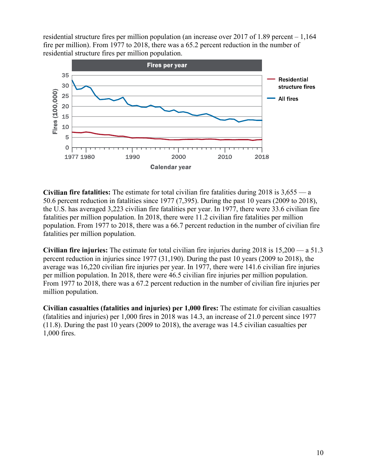residential structure fires per million population (an increase over 2017 of 1.89 percent – 1,164 fire per million). From 1977 to 2018, there was a 65.2 percent reduction in the number of residential structure fires per million population.



**Civilian fire fatalities:** The estimate for total civilian fire fatalities during 2018 is 3,655 — a 50.6 percent reduction in fatalities since 1977 (7,395). During the past 10 years (2009 to 2018), the U.S. has averaged 3,223 civilian fire fatalities per year. In 1977, there were 33.6 civilian fire fatalities per million population. In 2018, there were 11.2 civilian fire fatalities per million population. From 1977 to 2018, there was a 66.7 percent reduction in the number of civilian fire fatalities per million population.

**Civilian fire injuries:** The estimate for total civilian fire injuries during 2018 is 15,200 — a 51.3 percent reduction in injuries since 1977 (31,190). During the past 10 years (2009 to 2018), the average was 16,220 civilian fire injuries per year. In 1977, there were 141.6 civilian fire injuries per million population. In 2018, there were 46.5 civilian fire injuries per million population. From 1977 to 2018, there was a 67.2 percent reduction in the number of civilian fire injuries per million population.

**Civilian casualties (fatalities and injuries) per 1,000 fires:** The estimate for civilian casualties (fatalities and injuries) per 1,000 fires in 2018 was 14.3, an increase of 21.0 percent since 1977 (11.8). During the past 10 years (2009 to 2018), the average was 14.5 civilian casualties per 1,000 fires.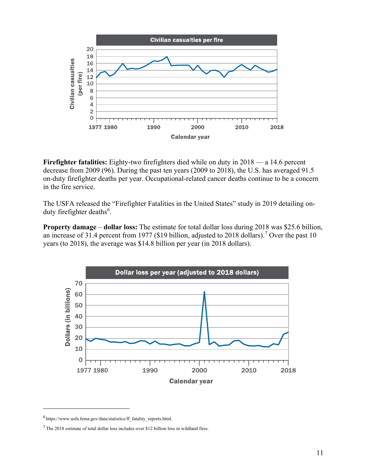

**Firefighter fatalities:** Eighty-two firefighters died while on duty in 2018 — a 14.6 percent decrease from 2009 (96). During the past ten years (2009 to 2018), the U.S. has averaged 91.5 on-duty firefighter deaths per year. Occupational-related cancer deaths continue to be a concern in the fire service.

The USFA released the "Firefighter Fatalities in the United States" study in 2019 detailing on-duty firefighter deaths<sup>[6](#page-11-0)</sup>.

**Property damage** – **dollar loss:** The estimate for total dollar loss during 2018 was \$25.6 billion, an increase of 31.4 percent from 19[7](#page-11-1)7 (\$19 billion, adjusted to 2018 dollars).<sup>7</sup> Over the past 10 years (to 2018), the average was \$14.8 billion per year (in 2018 dollars).



<span id="page-11-0"></span> $6$  [https://www.usfa.fema.gov/data/statistics/ff\\_fatality\\_reports.html.](https://www.usfa.fema.gov/data/statistics/ff_fatality_reports.html)

<span id="page-11-1"></span><sup>7</sup>The 2018 estimate of total dollar loss includes over \$12 billion loss in wildland fires.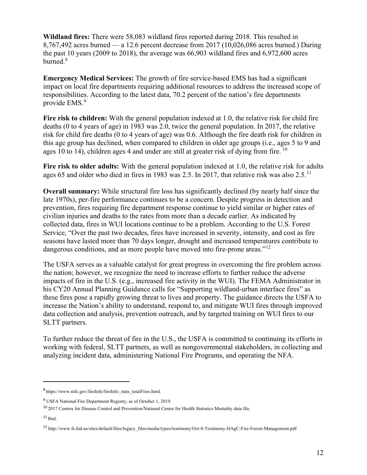**Wildland fires:** There were 58,083 wildland fires reported during 2018. This resulted in 8,767,492 acres burned — a 12.6 percent decrease from 2017 (10,026,086 acres burned.) During the past 10 years (2009 to 2018), the average was 66,903 wildland fires and 6,972,600 acres burned. $8$ 

**Emergency Medical Services:** The growth of fire service-based EMS has had a significant impact on local fire departments requiring additional resources to address the increased scope of responsibilities. According to the latest data, 70.2 percent of the nation's fire departments provide EMS.<sup>[9](#page-12-1)</sup>

**Fire risk to children:** With the general population indexed at 1.0, the relative risk for child fire deaths (0 to 4 years of age) in 1983 was 2.0, twice the general population. In 2017, the relative risk for child fire deaths (0 to 4 years of age) was 0.6. Although the fire death risk for children in this age group has declined, when compared to children in older age groups (i.e., ages 5 to 9 and ages [10](#page-12-2) to 14), children ages 4 and under are still at greater risk of dying from fire.  $10$ 

**Fire risk to older adults:** With the general population indexed at 1.0, the relative risk for adults ages 65 and older who died in fires in 1983 was 2.5. In 2017, that relative risk was also 2.5.<sup>[11](#page-12-3)</sup>

**Overall summary:** While structural fire loss has significantly declined (by nearly half since the late 1970s), per-fire performance continues to be a concern. Despite progress in detection and prevention, fires requiring fire department response continue to yield similar or higher rates of civilian injuries and deaths to the rates from more than a decade earlier. As indicated by collected data, fires in WUI locations continue to be a problem. According to the U.S. Forest Service, "Over the past two decades, fires have increased in severity, intensity, and cost as fire seasons have lasted more than 70 days longer, drought and increased temperatures contribute to dangerous conditions, and as more people have moved into fire-prone areas."<sup>[12](#page-12-4)</sup>

The USFA serves as a valuable catalyst for great progress in overcoming the fire problem across the nation; however, we recognize the need to increase efforts to further reduce the adverse impacts of fire in the U.S. (e.g., increased fire activity in the WUI). The FEMA Administrator in his CY20 Annual Planning Guidance calls for "Supporting wildland-urban interface fires" as these fires pose a rapidly growing threat to lives and property. The guidance directs the USFA to increase the Nation's ability to understand, respond to, and mitigate WUI fires through improved data collection and analysis, prevention outreach, and by targeted training on WUI fires to our SLTT partners.

To further reduce the threat of fire in the U.S., the USFA is committed to continuing its efforts in working with federal, SLTT partners, as well as nongovernmental stakeholders, in collecting and analyzing incident data, administering National Fire Programs, and operating the NFA.

<span id="page-12-0"></span><sup>8</sup>[https://www.nifc.gov/fireInfo/fireInfo\\_stats\\_totalFires.html.](https://www.nifc.gov/fireInfo/fireInfo_stats_totalFires.html)

<span id="page-12-1"></span><sup>9</sup> USFA National Fire Department Registry, as of October 1, 2019.

<span id="page-12-2"></span><sup>&</sup>lt;sup>10</sup> 2017 Centers for Disease Control and Prevention/National Center for Health Statistics Mortality data file.

<span id="page-12-3"></span> $11$  Ibid.

<span id="page-12-4"></span><sup>12</sup> [http://www.fs.fed.us/sites/default/files/legacy\\_files/media/types/testimony/Oct-8-Testimony-HAgC-Fire-Forest-Management.pdf.](http://www.fs.fed.us/sites/default/files/legacy_files/media/types/testimony/Oct-8-Testimony-HAgC-Fire-Forest-Management.pdf)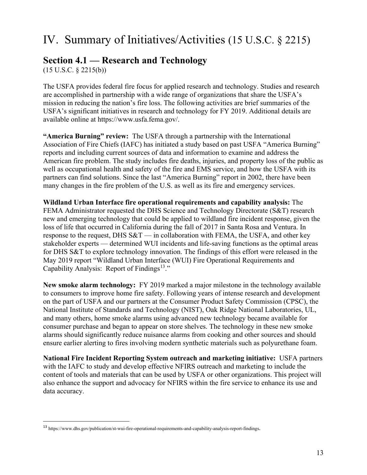# IV. Summary of Initiatives/Activities (15 U.S.C. § 2215)

### **Section 4.1 — Research and Technology**

(15 U.S.C. § 2215(b))

The USFA provides federal fire focus for applied research and technology. Studies and research are accomplished in partnership with a wide range of organizations that share the USFA's mission in reducing the nation's fire loss. The following activities are brief summaries of the USFA's significant initiatives in research and technology for FY 2019. Additional details are available online at [https://www.usfa.fema.gov/.](https://www.usfa.fema.gov/)

**"America Burning" review:** The USFA through a partnership with the International Association of Fire Chiefs (IAFC) has initiated a study based on past USFA "America Burning" reports and including current sources of data and information to examine and address the American fire problem. The study includes fire deaths, injuries, and property loss of the public as well as occupational health and safety of the fire and EMS service, and how the USFA with its partners can find solutions. Since the last "America Burning" report in 2002, there have been many changes in the fire problem of the U.S. as well as its fire and emergency services.

**Wildland Urban Interface fire operational requirements and capability analysis:** The FEMA Administrator requested the DHS Science and Technology Directorate (S&T) research new and emerging technology that could be applied to wildland fire incident response, given the loss of life that occurred in California during the fall of 2017 in Santa Rosa and Ventura. In response to the request, DHS  $S&T$  — in collaboration with FEMA, the USFA, and other key stakeholder experts — determined WUI incidents and life-saving functions as the optimal areas for DHS S&T to explore technology innovation. The findings of this effort were released in the May 2019 report "Wildland Urban Interface (WUI) Fire Operational Requirements and Capability Analysis: Report of Findings<sup>[13.](#page-13-0)"</sup>

**New smoke alarm technology:** FY 2019 marked a major milestone in the technology available to consumers to improve home fire safety. Following years of intense research and development on the part of USFA and our partners at the Consumer Product Safety Commission (CPSC), the National Institute of Standards and Technology (NIST), Oak Ridge National Laboratories, UL, and many others, home smoke alarms using advanced new technology became available for consumer purchase and began to appear on store shelves. The technology in these new smoke alarms should significantly reduce nuisance alarms from cooking and other sources and should ensure earlier alerting to fires involving modern synthetic materials such as polyurethane foam.

**National Fire Incident Reporting System outreach and marketing initiative:** USFA partners with the IAFC to study and develop effective NFIRS outreach and marketing to include the content of tools and materials that can be used by USFA or other organizations. This project will also enhance the support and advocacy for NFIRS within the fire service to enhance its use and data accuracy.

<span id="page-13-0"></span><sup>13</sup> <https://www.dhs.gov/publication/st-wui-fire-operational-requirements-and-capability-analysis-report-findings>.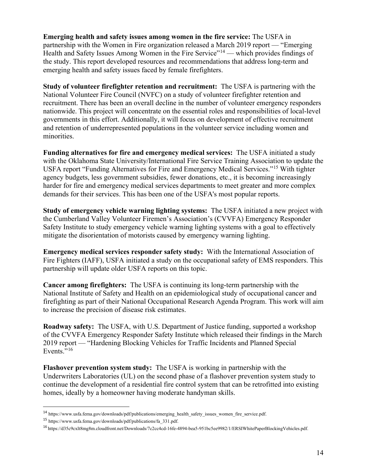**Emerging health and safety issues among women in the fire service:** The USFA in partnership with the Women in Fire organization released a March 2019 report — "Emerging Health and Safety Issues Among Women in the Fire Service"<sup>[14](#page-14-0)</sup> — which provides findings of the study. This report developed resources and recommendations that address long-term and emerging health and safety issues faced by female firefighters.

**Study of volunteer firefighter retention and recruitment:** The USFA is partnering with the National Volunteer Fire Council (NVFC) on a study of volunteer firefighter retention and recruitment. There has been an overall decline in the number of volunteer emergency responders nationwide. This project will concentrate on the essential roles and responsibilities of local-level governments in this effort. Additionally, it will focus on development of effective recruitment and retention of underrepresented populations in the volunteer service including women and minorities.

**Funding alternatives for fire and emergency medical services:** The USFA initiated a study with the Oklahoma State University/International Fire Service Training Association to update the USFA report "Funding Alternatives for Fire and Emergency Medical Services."[15](#page-14-1) With tighter agency budgets, less government subsidies, fewer donations, etc., it is becoming increasingly harder for fire and emergency medical services departments to meet greater and more complex demands for their services. This has been one of the USFA's most popular reports.

**Study of emergency vehicle warning lighting systems:** The USFA initiated a new project with the Cumberland Valley Volunteer Firemen's Association's (CVVFA) Emergency Responder Safety Institute to study emergency vehicle warning lighting systems with a goal to effectively mitigate the disorientation of motorists caused by emergency warning lighting.

**Emergency medical services responder safety study:** With the International Association of Fire Fighters (IAFF), USFA initiated a study on the occupational safety of EMS responders. This partnership will update older USFA reports on this topic.

**Cancer among firefighters:** The USFA is continuing its long-term partnership with the National Institute of Safety and Health on an epidemiological study of occupational cancer and firefighting as part of their National Occupational Research Agenda Program. This work will aim to increase the precision of disease risk estimates.

**Roadway safety:** The USFA, with U.S. Department of Justice funding, supported a workshop of the CVVFA Emergency Responder Safety Institute which released their findings in the March 2019 report — "Hardening Blocking Vehicles for Traffic Incidents and Planned Special Events." $16$ 

**Flashover prevention system study:** The USFA is working in partnership with the Underwriters Laboratories (UL) on the second phase of a flashover prevention system study to continue the development of a residential fire control system that can be retrofitted into existing homes, ideally by a homeowner having moderate handyman skills.

<span id="page-14-0"></span><sup>14</sup> [https://www.usfa.fema.gov/downloads/pdf/publications/emerging\\_health\\_safety\\_issues\\_women\\_fire\\_service.pdf.](https://www.usfa.fema.gov/downloads/pdf/publications/emerging_health_safety_issues_women_fire_service.pdf)

<span id="page-14-1"></span><sup>15</sup> [https://www.usfa.fema.gov/downloads/pdf/publications/fa\\_331.pdf.](https://www.usfa.fema.gov/downloads/pdf/publications/fa_331.pdf) 

<span id="page-14-2"></span><sup>16</sup> [https://d35c9cxlt8mg8m.cloudfront.net/Downloads/7c2cc4cd-16fe-4894-bea5-951bc5ee9982/1/ERSIWhitePaperBlockingVehicles.pdf.](https://d35c9cxlt8mg8m.cloudfront.net/Downloads/7c2cc4cd-16fe-4894-bea5-951bc5ee9982/1/ERSIWhitePaperBlockingVehicles.pdf)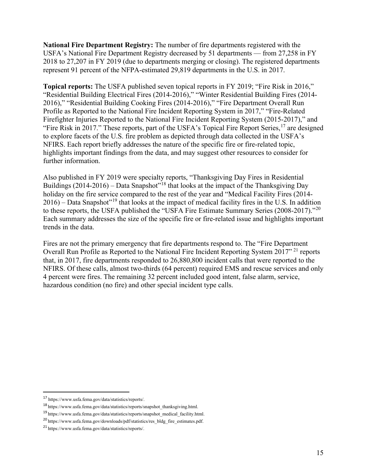**National Fire Department Registry:** The number of fire departments registered with the USFA's National Fire Department Registry decreased by 51 departments — from 27,258 in FY 2018 to 27,207 in FY 2019 (due to departments merging or closing). The registered departments represent 91 percent of the NFPA-estimated 29,819 departments in the U.S. in 2017.

**Topical reports:** The USFA published seven topical reports in FY 2019; "Fire Risk in 2016," "Residential Building Electrical Fires (2014-2016)," "Winter Residential Building Fires (2014- 2016)," "Residential Building Cooking Fires (2014-2016)," "Fire Department Overall Run Profile as Reported to the National Fire Incident Reporting System in 2017," "Fire-Related Firefighter Injuries Reported to the National Fire Incident Reporting System (2015-2017)," and "Fire Risk in 20[17](#page-15-0)." These reports, part of the USFA's Topical Fire Report Series, <sup>17</sup> are designed to explore facets of the U.S. fire problem as depicted through data collected in the USFA's NFIRS. Each report briefly addresses the nature of the specific fire or fire-related topic, highlights important findings from the data, and may suggest other resources to consider for further information.

Also published in FY 2019 were specialty reports, "Thanksgiving Day Fires in Residential Buildings  $(2014-2016)$  – Data Snapshot<sup> $18$ </sup> that looks at the impact of the Thanksgiving Day holiday on the fire service compared to the rest of the year and "Medical Facility Fires (2014-  $2016$  – Data Snapshot"<sup>[19](#page-15-2)</sup> that looks at the impact of medical facility fires in the U.S. In addition to these reports, the USFA published the "USFA Fire Estimate Summary Series ([20](#page-15-3)08-2017)."<sup>20</sup> Each summary addresses the size of the specific fire or fire-related issue and highlights important trends in the data.

Fires are not the primary emergency that fire departments respond to. The "Fire Department Overall Run Profile as Reported to the National Fire Incident Reporting System 2017" [21](#page-15-4) reports that, in 2017, fire departments responded to 26,880,800 incident calls that were reported to the NFIRS. Of these calls, almost two-thirds (64 percent) required EMS and rescue services and only 4 percent were fires. The remaining 32 percent included good intent, false alarm, service, hazardous condition (no fire) and other special incident type calls.

<span id="page-15-0"></span><sup>17</sup> [https://www.usfa.fema.gov/data/statistics/reports/.](https://www.usfa.fema.gov/data/statistics/reports/) 

<span id="page-15-1"></span><sup>18</sup> [https://www.usfa.fema.gov/data/statistics/reports/snapshot\\_thanksgiving.html.](https://www.usfa.fema.gov/data/statistics/reports/snapshot_thanksgiving.html) 

<span id="page-15-2"></span><sup>19</sup> [https://www.usfa.fema.gov/data/statistics/reports/snapshot\\_medical\\_facility.html.](https://www.usfa.fema.gov/data/statistics/reports/snapshot_medical_facility.html) 

<span id="page-15-3"></span><sup>20</sup> [https://www.usfa.fema.gov/downloads/pdf/statistics/res\\_bldg\\_fire\\_estimates.pdf.](https://www.usfa.fema.gov/downloads/pdf/statistics/res_bldg_fire_estimates.pdf) 

<span id="page-15-4"></span><sup>21</sup> [https://www.usfa.fema.gov/data/statistics/reports/.](https://www.usfa.fema.gov/data/statistics/reports/)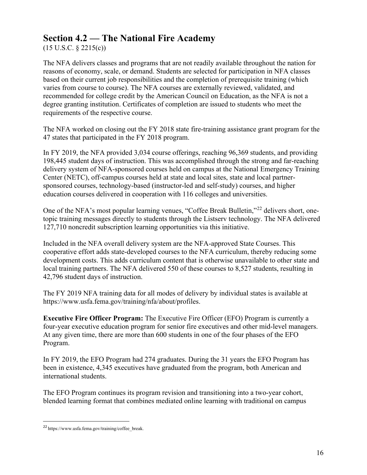### **Section 4.2 — The National Fire Academy**

 $(15 \text{ U.S.C. } § 2215(c))$ 

The NFA delivers classes and programs that are not readily available throughout the nation for reasons of economy, scale, or demand. Students are selected for participation in NFA classes based on their current job responsibilities and the completion of prerequisite training (which varies from course to course). The NFA courses are externally reviewed, validated, and recommended for college credit by the American Council on Education, as the NFA is not a degree granting institution. Certificates of completion are issued to students who meet the requirements of the respective course.

The NFA worked on closing out the FY 2018 state fire-training assistance grant program for the 47 states that participated in the FY 2018 program.

In FY 2019, the NFA provided 3,034 course offerings, reaching 96,369 students, and providing 198,445 student days of instruction. This was accomplished through the strong and far-reaching delivery system of NFA-sponsored courses held on campus at the National Emergency Training Center (NETC), off-campus courses held at state and local sites, state and local partnersponsored courses, technology-based (instructor-led and self-study) courses, and higher education courses delivered in cooperation with 116 colleges and universities.

One of the NFA's most popular learning venues, "Coffee Break Bulletin,"<sup>[22](#page-16-0)</sup> delivers short, onetopic training messages directly to students through the Listserv technology. The NFA delivered 127,710 noncredit subscription learning opportunities via this initiative.

Included in the NFA overall delivery system are the NFA-approved State Courses. This cooperative effort adds state-developed courses to the NFA curriculum, thereby reducing some development costs. This adds curriculum content that is otherwise unavailable to other state and local training partners. The NFA delivered 550 of these courses to 8,527 students, resulting in 42,796 student days of instruction.

The FY 2019 NFA training data for all modes of delivery by individual states is available at [https://www.usfa.fema.gov/training/nfa/about/profiles.](https://www.usfa.fema.gov/training/nfa/about/profiles)

**Executive Fire Officer Program:** The Executive Fire Officer (EFO) Program is currently a four-year executive education program for senior fire executives and other mid-level managers. At any given time, there are more than 600 students in one of the four phases of the EFO Program.

In FY 2019, the EFO Program had 274 graduates. During the 31 years the EFO Program has been in existence, 4,345 executives have graduated from the program, both American and international students.

The EFO Program continues its program revision and transitioning into a two-year cohort, blended learning format that combines mediated online learning with traditional on campus

<span id="page-16-0"></span><sup>22</sup> [https://www.usfa.fema.gov/training/coffee\\_break.](https://www.usfa.fema.gov/training/coffee_break)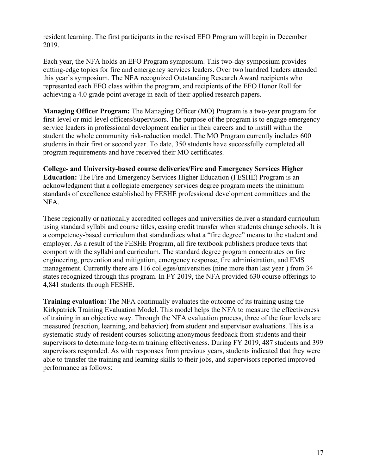resident learning. The first participants in the revised EFO Program will begin in December 2019.

Each year, the NFA holds an EFO Program symposium. This two-day symposium provides cutting-edge topics for fire and emergency services leaders. Over two hundred leaders attended this year's symposium. The NFA recognized Outstanding Research Award recipients who represented each EFO class within the program, and recipients of the EFO Honor Roll for achieving a 4.0 grade point average in each of their applied research papers.

**Managing Officer Program:** The Managing Officer (MO) Program is a two-year program for first-level or mid-level officers/supervisors. The purpose of the program is to engage emergency service leaders in professional development earlier in their careers and to instill within the student the whole community risk-reduction model. The MO Program currently includes 600 students in their first or second year. To date, 350 students have successfully completed all program requirements and have received their MO certificates.

**College- and University-based course deliveries/Fire and Emergency Services Higher Education:** The Fire and Emergency Services Higher Education (FESHE) Program is an acknowledgment that a collegiate emergency services degree program meets the minimum standards of excellence established by FESHE professional development committees and the NFA.

These regionally or nationally accredited colleges and universities deliver a standard curriculum using standard syllabi and course titles, easing credit transfer when students change schools. It is a competency-based curriculum that standardizes what a "fire degree" means to the student and employer. As a result of the FESHE Program, all fire textbook publishers produce texts that comport with the syllabi and curriculum. The standard degree program concentrates on fire engineering, prevention and mitigation, emergency response, fire administration, and EMS management. Currently there are 116 colleges/universities (nine more than last year ) from 34 states recognized through this program. In FY 2019, the NFA provided 630 course offerings to 4,841 students through FESHE.

**Training evaluation:** The NFA continually evaluates the outcome of its training using the Kirkpatrick Training Evaluation Model. This model helps the NFA to measure the effectiveness of training in an objective way. Through the NFA evaluation process, three of the four levels are measured (reaction, learning, and behavior) from student and supervisor evaluations. This is a systematic study of resident courses soliciting anonymous feedback from students and their supervisors to determine long-term training effectiveness. During FY 2019, 487 students and 399 supervisors responded. As with responses from previous years, students indicated that they were able to transfer the training and learning skills to their jobs, and supervisors reported improved performance as follows: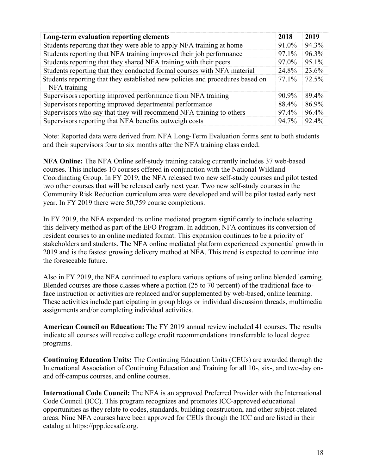| Long-term evaluation reporting elements                                                       | 2018  | 2019  |
|-----------------------------------------------------------------------------------------------|-------|-------|
| Students reporting that they were able to apply NFA training at home                          | 91.0% | 94.3% |
| Students reporting that NFA training improved their job performance                           | 97.1% | 96.3% |
| Students reporting that they shared NFA training with their peers                             | 97.0% | 95.1% |
| Students reporting that they conducted formal courses with NFA material                       |       | 23.6% |
| Students reporting that they established new policies and procedures based on<br>NFA training | 77.1% | 72.5% |
| Supervisors reporting improved performance from NFA training                                  | 90.9% | 89.4% |
| Supervisors reporting improved departmental performance                                       | 88.4% | 86.9% |
| Supervisors who say that they will recommend NFA training to others                           | 97.4% | 96.4% |
| Supervisors reporting that NFA benefits outweigh costs                                        |       | 92.4% |

Note: Reported data were derived from NFA Long-Term Evaluation forms sent to both students and their supervisors four to six months after the NFA training class ended.

**NFA Online:** The NFA Online self-study training catalog currently includes 37 web-based courses. This includes 10 courses offered in conjunction with the National Wildland Coordinating Group. In FY 2019, the NFA released two new self-study courses and pilot tested two other courses that will be released early next year. Two new self-study courses in the Community Risk Reduction curriculum area were developed and will be pilot tested early next year. In FY 2019 there were 50,759 course completions.

In FY 2019, the NFA expanded its online mediated program significantly to include selecting this delivery method as part of the EFO Program. In addition, NFA continues its conversion of resident courses to an online mediated format. This expansion continues to be a priority of stakeholders and students. The NFA online mediated platform experienced exponential growth in 2019 and is the fastest growing delivery method at NFA. This trend is expected to continue into the foreseeable future.

Also in FY 2019, the NFA continued to explore various options of using online blended learning. Blended courses are those classes where a portion (25 to 70 percent) of the traditional face-toface instruction or activities are replaced and/or supplemented by web-based, online learning. These activities include participating in group blogs or individual discussion threads, multimedia assignments and/or completing individual activities.

**American Council on Education:** The FY 2019 annual review included 41 courses. The results indicate all courses will receive college credit recommendations transferrable to local degree programs.

**Continuing Education Units:** The Continuing Education Units (CEUs) are awarded through the International Association of Continuing Education and Training for all 10-, six-, and two-day onand off-campus courses, and online courses.

**International Code Council:** The NFA is an approved Preferred Provider with the International Code Council (ICC). This program recognizes and promotes ICC-approved educational opportunities as they relate to codes, standards, building construction, and other subject-related areas. Nine NFA courses have been approved for CEUs through the ICC and are listed in their catalog at [https://ppp.iccsafe.org.](https://ppp.iccsafe.org/)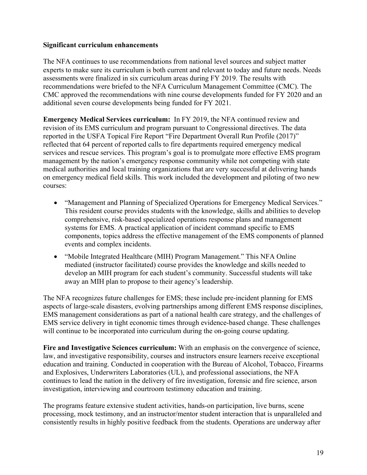#### **Significant curriculum enhancements**

The NFA continues to use recommendations from national level sources and subject matter experts to make sure its curriculum is both current and relevant to today and future needs. Needs assessments were finalized in six curriculum areas during FY 2019. The results with recommendations were briefed to the NFA Curriculum Management Committee (CMC). The CMC approved the recommendations with nine course developments funded for FY 2020 and an additional seven course developments being funded for FY 2021.

**Emergency Medical Services curriculum:** In FY 2019, the NFA continued review and revision of its EMS curriculum and program pursuant to Congressional directives. The data reported in the USFA Topical Fire Report "Fire Department Overall Run Profile (2017)" reflected that 64 percent of reported calls to fire departments required emergency medical services and rescue services. This program's goal is to promulgate more effective EMS program management by the nation's emergency response community while not competing with state medical authorities and local training organizations that are very successful at delivering hands on emergency medical field skills. This work included the development and piloting of two new courses:

- "Management and Planning of Specialized Operations for Emergency Medical Services." This resident course provides students with the knowledge, skills and abilities to develop comprehensive, risk-based specialized operations response plans and management systems for EMS. A practical application of incident command specific to EMS components, topics address the effective management of the EMS components of planned events and complex incidents.
- "Mobile Integrated Healthcare (MIH) Program Management." This NFA Online mediated (instructor facilitated) course provides the knowledge and skills needed to develop an MIH program for each student's community. Successful students will take away an MIH plan to propose to their agency's leadership.

The NFA recognizes future challenges for EMS; these include pre-incident planning for EMS aspects of large-scale disasters, evolving partnerships among different EMS response disciplines, EMS management considerations as part of a national health care strategy, and the challenges of EMS service delivery in tight economic times through evidence-based change. These challenges will continue to be incorporated into curriculum during the on-going course updating.

**Fire and Investigative Sciences curriculum:** With an emphasis on the convergence of science, law, and investigative responsibility, courses and instructors ensure learners receive exceptional education and training. Conducted in cooperation with the Bureau of Alcohol, Tobacco, Firearms and Explosives, Underwriters Laboratories (UL), and professional associations, the NFA continues to lead the nation in the delivery of fire investigation, forensic and fire science, arson investigation, interviewing and courtroom testimony education and training.

The programs feature extensive student activities, hands-on participation, live burns, scene processing, mock testimony, and an instructor/mentor student interaction that is unparalleled and consistently results in highly positive feedback from the students. Operations are underway after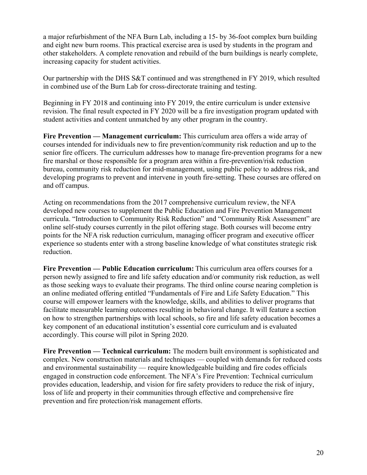a major refurbishment of the NFA Burn Lab, including a 15- by 36-foot complex burn building and eight new burn rooms. This practical exercise area is used by students in the program and other stakeholders. A complete renovation and rebuild of the burn buildings is nearly complete, increasing capacity for student activities.

Our partnership with the DHS S&T continued and was strengthened in FY 2019, which resulted in combined use of the Burn Lab for cross-directorate training and testing.

Beginning in FY 2018 and continuing into FY 2019, the entire curriculum is under extensive revision. The final result expected in FY 2020 will be a fire investigation program updated with student activities and content unmatched by any other program in the country.

**Fire Prevention — Management curriculum:** This curriculum area offers a wide array of courses intended for individuals new to fire prevention/community risk reduction and up to the senior fire officers. The curriculum addresses how to manage fire-prevention programs for a new fire marshal or those responsible for a program area within a fire-prevention/risk reduction bureau, community risk reduction for mid-management, using public policy to address risk, and developing programs to prevent and intervene in youth fire-setting. These courses are offered on and off campus.

Acting on recommendations from the 2017 comprehensive curriculum review, the NFA developed new courses to supplement the Public Education and Fire Prevention Management curricula. "Introduction to Community Risk Reduction" and "Community Risk Assessment" are online self-study courses currently in the pilot offering stage. Both courses will become entry points for the NFA risk reduction curriculum, managing officer program and executive officer experience so students enter with a strong baseline knowledge of what constitutes strategic risk reduction.

**Fire Prevention — Public Education curriculum:** This curriculum area offers courses for a person newly assigned to fire and life safety education and/or community risk reduction, as well as those seeking ways to evaluate their programs. The third online course nearing completion is an online mediated offering entitled "Fundamentals of Fire and Life Safety Education." This course will empower learners with the knowledge, skills, and abilities to deliver programs that facilitate measurable learning outcomes resulting in behavioral change. It will feature a section on how to strengthen partnerships with local schools, so fire and life safety education becomes a key component of an educational institution's essential core curriculum and is evaluated accordingly. This course will pilot in Spring 2020.

**Fire Prevention — Technical curriculum:** The modern built environment is sophisticated and complex. New construction materials and techniques — coupled with demands for reduced costs and environmental sustainability — require knowledgeable building and fire codes officials engaged in construction code enforcement. The NFA's Fire Prevention: Technical curriculum provides education, leadership, and vision for fire safety providers to reduce the risk of injury, loss of life and property in their communities through effective and comprehensive fire prevention and fire protection/risk management efforts.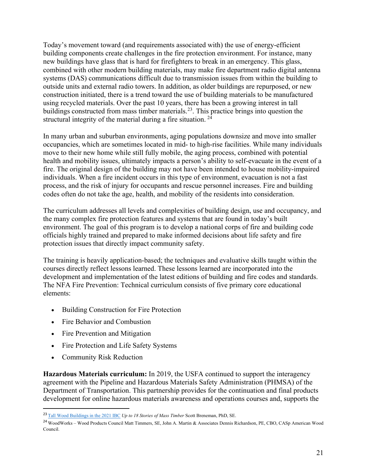Today's movement toward (and requirements associated with) the use of energy-efficient building components create challenges in the fire protection environment. For instance, many new buildings have glass that is hard for firefighters to break in an emergency. This glass, combined with other modern building materials, may make fire department radio digital antenna systems (DAS) communications difficult due to transmission issues from within the building to outside units and external radio towers. In addition, as older buildings are repurposed, or new construction initiated, there is a trend toward the use of building materials to be manufactured using recycled materials. Over the past 10 years, there has been a growing interest in tall buildings constructed from mass timber materials.<sup>[23](#page-21-0)</sup>. This practice brings into question the structural integrity of the material during a fire situation. [24](#page-21-1)

In many urban and suburban environments, aging populations downsize and move into smaller occupancies, which are sometimes located in mid- to high-rise facilities. While many individuals move to their new home while still fully mobile, the aging process, combined with potential health and mobility issues, ultimately impacts a person's ability to self-evacuate in the event of a fire. The original design of the building may not have been intended to house mobility-impaired individuals. When a fire incident occurs in this type of environment, evacuation is not a fast process, and the risk of injury for occupants and rescue personnel increases. Fire and building codes often do not take the age, health, and mobility of the residents into consideration.

The curriculum addresses all levels and complexities of building design, use and occupancy, and the many complex fire protection features and systems that are found in today's built environment. The goal of this program is to develop a national corps of fire and building code officials highly trained and prepared to make informed decisions about life safety and fire protection issues that directly impact community safety.

The training is heavily application-based; the techniques and evaluative skills taught within the courses directly reflect lessons learned. These lessons learned are incorporated into the development and implementation of the latest editions of building and fire codes and standards. The NFA Fire Prevention: Technical curriculum consists of five primary core educational elements:

- Building Construction for Fire Protection
- Fire Behavior and Combustion
- Fire Prevention and Mitigation
- Fire Protection and Life Safety Systems
- Community Risk Reduction

**Hazardous Materials curriculum:** In 2019, the USFA continued to support the interagency agreement with the Pipeline and Hazardous Materials Safety Administration (PHMSA) of the Department of Transportation. This partnership provides for the continuation and final products development for online hazardous materials awareness and operations courses and, supports the

<span id="page-21-0"></span><sup>23</sup> [Tall Wood Buildings in the 2021 IBC](https://awc.org/pdf/education/des/AWC-DES607A-TallWood2021IBC-190619-color.pdf) *Up to 18 Stories of Mass Timber* Scott Breneman, PhD, SE.

<span id="page-21-1"></span><sup>24</sup> WoodWorks – Wood Products Council Matt Timmers, SE, John A. Martin & Associates Dennis Richardson, PE, CBO, CASp American Wood Council.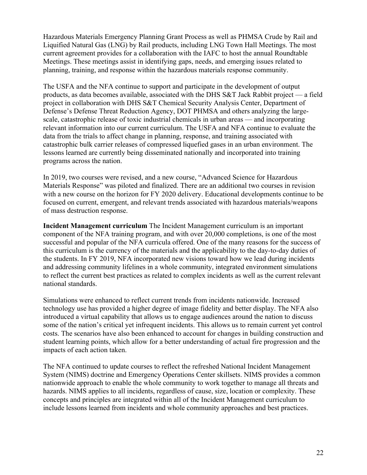Hazardous Materials Emergency Planning Grant Process as well as PHMSA Crude by Rail and Liquified Natural Gas (LNG) by Rail products, including LNG Town Hall Meetings. The most current agreement provides for a collaboration with the IAFC to host the annual Roundtable Meetings. These meetings assist in identifying gaps, needs, and emerging issues related to planning, training, and response within the hazardous materials response community.

The USFA and the NFA continue to support and participate in the development of output products, as data becomes available, associated with the DHS S&T Jack Rabbit project — a field project in collaboration with DHS S&T Chemical Security Analysis Center, Department of Defense's Defense Threat Reduction Agency, DOT PHMSA and others analyzing the largescale, catastrophic release of toxic industrial chemicals in urban areas — and incorporating relevant information into our current curriculum. The USFA and NFA continue to evaluate the data from the trials to affect change in planning, response, and training associated with catastrophic bulk carrier releases of compressed liquefied gases in an urban environment. The lessons learned are currently being disseminated nationally and incorporated into training programs across the nation.

In 2019, two courses were revised, and a new course, "Advanced Science for Hazardous Materials Response" was piloted and finalized. There are an additional two courses in revision with a new course on the horizon for FY 2020 delivery. Educational developments continue to be focused on current, emergent, and relevant trends associated with hazardous materials/weapons of mass destruction response.

**Incident Management curriculum** The Incident Management curriculum is an important component of the NFA training program, and with over 20,000 completions, is one of the most successful and popular of the NFA curricula offered. One of the many reasons for the success of this curriculum is the currency of the materials and the applicability to the day-to-day duties of the students. In FY 2019, NFA incorporated new visions toward how we lead during incidents and addressing community lifelines in a whole community, integrated environment simulations to reflect the current best practices as related to complex incidents as well as the current relevant national standards.

Simulations were enhanced to reflect current trends from incidents nationwide. Increased technology use has provided a higher degree of image fidelity and better display. The NFA also introduced a virtual capability that allows us to engage audiences around the nation to discuss some of the nation's critical yet infrequent incidents. This allows us to remain current yet control costs. The scenarios have also been enhanced to account for changes in building construction and student learning points, which allow for a better understanding of actual fire progression and the impacts of each action taken.

The NFA continued to update courses to reflect the refreshed National Incident Management System (NIMS) doctrine and Emergency Operations Center skillsets. NIMS provides a common nationwide approach to enable the whole community to work together to manage all threats and hazards. NIMS applies to all incidents, regardless of cause, size, location or complexity. These concepts and principles are integrated within all of the Incident Management curriculum to include lessons learned from incidents and whole community approaches and best practices.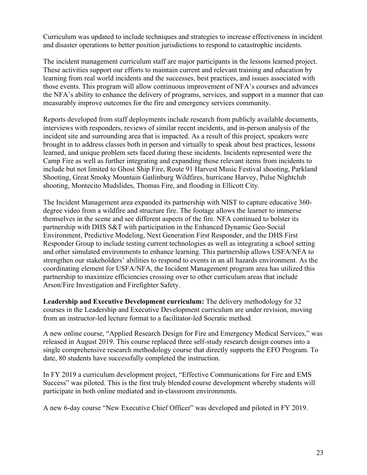Curriculum was updated to include techniques and strategies to increase effectiveness in incident and disaster operations to better position jurisdictions to respond to catastrophic incidents.

The incident management curriculum staff are major participants in the lessons learned project. These activities support our efforts to maintain current and relevant training and education by learning from real world incidents and the successes, best practices, and issues associated with those events. This program will allow continuous improvement of NFA's courses and advances the NFA's ability to enhance the delivery of programs, services, and support in a manner that can measurably improve outcomes for the fire and emergency services community.

Reports developed from staff deployments include research from publicly available documents, interviews with responders, reviews of similar recent incidents, and in-person analysis of the incident site and surrounding area that is impacted. As a result of this project, speakers were brought in to address classes both in person and virtually to speak about best practices, lessons learned, and unique problem sets faced during these incidents. Incidents represented were the Camp Fire as well as further integrating and expanding those relevant items from incidents to include but not limited to Ghost Ship Fire, Route 91 Harvest Music Festival shooting, Parkland Shooting, Great Smoky Mountain Gatlinburg Wildfires, hurricane Harvey, Pulse Nightclub shooting, Montecito Mudslides, Thomas Fire, and flooding in Ellicott City.

The Incident Management area expanded its partnership with NIST to capture educative 360 degree video from a wildfire and structure fire. The footage allows the learner to immerse themselves in the scene and see different aspects of the fire. NFA continued to bolster its partnership with DHS S&T with participation in the Enhanced Dynamic Geo-Social Environment, Predictive Modeling, Next Generation First Responder, and the DHS First Responder Group to include testing current technologies as well as integrating a school setting and other simulated environments to enhance learning. This partnership allows USFA/NFA to strengthen our stakeholders' abilities to respond to events in an all hazards environment. As the coordinating element for USFA/NFA, the Incident Management program area has utilized this partnership to maximize efficiencies crossing over to other curriculum areas that include Arson/Fire Investigation and Firefighter Safety.

**Leadership and Executive Development curriculum:** The delivery methodology for 32 courses in the Leadership and Executive Development curriculum are under revision, moving from an instructor-led lecture format to a facilitator-led Socratic method.

A new online course, "Applied Research Design for Fire and Emergency Medical Services," was released in August 2019. This course replaced three self-study research design courses into a single comprehensive research methodology course that directly supports the EFO Program. To date, 80 students have successfully completed the instruction.

In FY 2019 a curriculum development project, "Effective Communications for Fire and EMS Success" was piloted. This is the first truly blended course development whereby students will participate in both online mediated and in-classroom environments.

A new 6-day course "New Executive Chief Officer" was developed and piloted in FY 2019.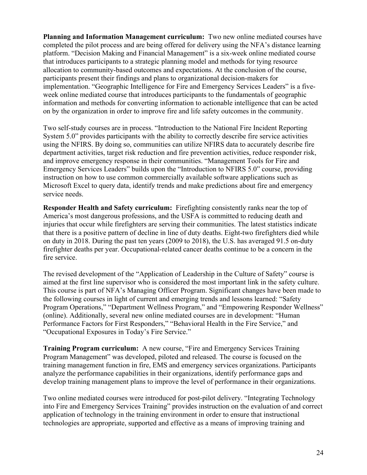**Planning and Information Management curriculum:** Two new online mediated courses have completed the pilot process and are being offered for delivery using the NFA's distance learning platform. "Decision Making and Financial Management" is a six-week online mediated course that introduces participants to a strategic planning model and methods for tying resource allocation to community-based outcomes and expectations. At the conclusion of the course, participants present their findings and plans to organizational decision-makers for implementation. "Geographic Intelligence for Fire and Emergency Services Leaders" is a fiveweek online mediated course that introduces participants to the fundamentals of geographic information and methods for converting information to actionable intelligence that can be acted on by the organization in order to improve fire and life safety outcomes in the community.

Two self-study courses are in process. "Introduction to the National Fire Incident Reporting System 5.0" provides participants with the ability to correctly describe fire service activities using the NFIRS. By doing so, communities can utilize NFIRS data to accurately describe fire department activities, target risk reduction and fire prevention activities, reduce responder risk, and improve emergency response in their communities. "Management Tools for Fire and Emergency Services Leaders" builds upon the "Introduction to NFIRS 5.0" course, providing instruction on how to use common commercially available software applications such as Microsoft Excel to query data, identify trends and make predictions about fire and emergency service needs.

**Responder Health and Safety curriculum:** Firefighting consistently ranks near the top of America's most dangerous professions, and the USFA is committed to reducing death and injuries that occur while firefighters are serving their communities. The latest statistics indicate that there is a positive pattern of decline in line of duty deaths. Eight-two firefighters died while on duty in 2018. During the past ten years (2009 to 2018), the U.S. has averaged 91.5 on-duty firefighter deaths per year. Occupational-related cancer deaths continue to be a concern in the fire service.

The revised development of the "Application of Leadership in the Culture of Safety" course is aimed at the first line supervisor who is considered the most important link in the safety culture. This course is part of NFA's Managing Officer Program. Significant changes have been made to the following courses in light of current and emerging trends and lessons learned: "Safety Program Operations," "Department Wellness Program," and "Empowering Responder Wellness" (online). Additionally, several new online mediated courses are in development: "Human Performance Factors for First Responders," "Behavioral Health in the Fire Service," and "Occupational Exposures in Today's Fire Service."

**Training Program curriculum:** A new course, "Fire and Emergency Services Training Program Management" was developed, piloted and released. The course is focused on the training management function in fire, EMS and emergency services organizations. Participants analyze the performance capabilities in their organizations, identify performance gaps and develop training management plans to improve the level of performance in their organizations.

Two online mediated courses were introduced for post-pilot delivery. "Integrating Technology into Fire and Emergency Services Training" provides instruction on the evaluation of and correct application of technology in the training environment in order to ensure that instructional technologies are appropriate, supported and effective as a means of improving training and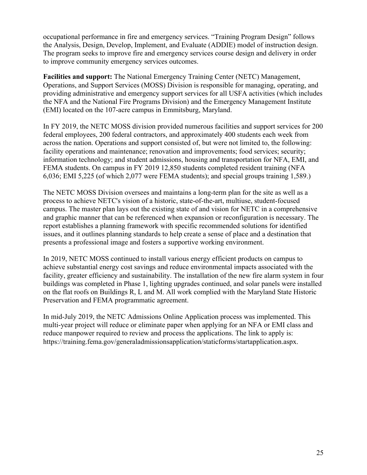occupational performance in fire and emergency services. "Training Program Design" follows the Analysis, Design, Develop, Implement, and Evaluate (ADDIE) model of instruction design. The program seeks to improve fire and emergency services course design and delivery in order to improve community emergency services outcomes.

**Facilities and support:** The National Emergency Training Center (NETC) Management, Operations, and Support Services (MOSS) Division is responsible for managing, operating, and providing administrative and emergency support services for all USFA activities (which includes the NFA and the National Fire Programs Division) and the Emergency Management Institute (EMI) located on the 107-acre campus in Emmitsburg, Maryland.

In FY 2019, the NETC MOSS division provided numerous facilities and support services for 200 federal employees, 200 federal contractors, and approximately 400 students each week from across the nation. Operations and support consisted of, but were not limited to, the following: facility operations and maintenance; renovation and improvements; food services; security; information technology; and student admissions, housing and transportation for NFA, EMI, and FEMA students. On campus in FY 2019 12,850 students completed resident training (NFA 6,036; EMI 5,225 (of which 2,077 were FEMA students); and special groups training 1,589.)

The NETC MOSS Division oversees and maintains a long-term plan for the site as well as a process to achieve NETC's vision of a historic, state-of-the-art, multiuse, student-focused campus. The master plan lays out the existing state of and vision for NETC in a comprehensive and graphic manner that can be referenced when expansion or reconfiguration is necessary. The report establishes a planning framework with specific recommended solutions for identified issues, and it outlines planning standards to help create a sense of place and a destination that presents a professional image and fosters a supportive working environment.

In 2019, NETC MOSS continued to install various energy efficient products on campus to achieve substantial energy cost savings and reduce environmental impacts associated with the facility, greater efficiency and sustainability. The installation of the new fire alarm system in four buildings was completed in Phase 1, lighting upgrades continued, and solar panels were installed on the flat roofs on Buildings R, L and M. All work complied with the Maryland State Historic Preservation and FEMA programmatic agreement.

In mid-July 2019, the NETC Admissions Online Application process was implemented. This multi-year project will reduce or eliminate paper when applying for an NFA or EMI class and reduce manpower required to review and process the applications. The link to apply is: [https://training.fema.gov/generaladmissionsapplication/staticforms/startapplication.aspx.](https://training.fema.gov/generaladmissionsapplication/staticforms/startapplication.aspx)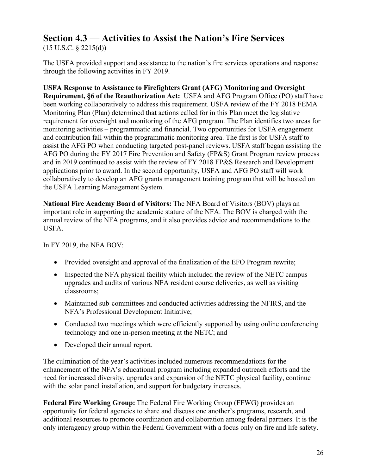# **Section 4.3 — Activities to Assist the Nation's Fire Services**

 $(15 \text{ U.S.C. } § 2215(d))$ 

The USFA provided support and assistance to the nation's fire services operations and response through the following activities in FY 2019.

**USFA Response to Assistance to Firefighters Grant (AFG) Monitoring and Oversight Requirement, §6 of the Reauthorization Act:** USFA and AFG Program Office (PO) staff have been working collaboratively to address this requirement. USFA review of the FY 2018 FEMA Monitoring Plan (Plan) determined that actions called for in this Plan meet the legislative requirement for oversight and monitoring of the AFG program. The Plan identifies two areas for monitoring activities – programmatic and financial. Two opportunities for USFA engagement and contribution fall within the programmatic monitoring area. The first is for USFA staff to assist the AFG PO when conducting targeted post-panel reviews. USFA staff began assisting the AFG PO during the FY 2017 Fire Prevention and Safety (FP&S) Grant Program review process and in 2019 continued to assist with the review of FY 2018 FP&S Research and Development applications prior to award. In the second opportunity, USFA and AFG PO staff will work collaboratively to develop an AFG grants management training program that will be hosted on the USFA Learning Management System.

**National Fire Academy Board of Visitors:** The NFA Board of Visitors (BOV) plays an important role in supporting the academic stature of the NFA. The BOV is charged with the annual review of the NFA programs, and it also provides advice and recommendations to the USFA.

In FY 2019, the NFA BOV:

- Provided oversight and approval of the finalization of the EFO Program rewrite;
- Inspected the NFA physical facility which included the review of the NETC campus upgrades and audits of various NFA resident course deliveries, as well as visiting classrooms;
- Maintained sub-committees and conducted activities addressing the NFIRS, and the NFA's Professional Development Initiative;
- Conducted two meetings which were efficiently supported by using online conferencing technology and one in-person meeting at the NETC; and
- Developed their annual report.

The culmination of the year's activities included numerous recommendations for the enhancement of the NFA's educational program including expanded outreach efforts and the need for increased diversity, upgrades and expansion of the NETC physical facility, continue with the solar panel installation, and support for budgetary increases.

**Federal Fire Working Group:** The Federal Fire Working Group (FFWG) provides an opportunity for federal agencies to share and discuss one another's programs, research, and additional resources to promote coordination and collaboration among federal partners. It is the only interagency group within the Federal Government with a focus only on fire and life safety.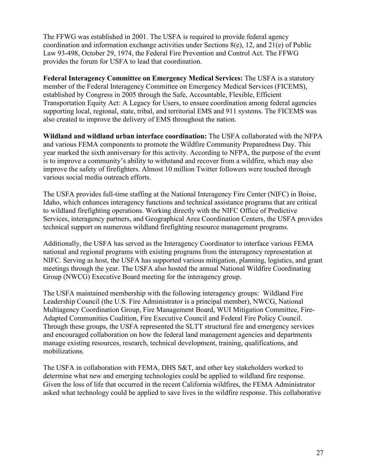The FFWG was established in 2001. The USFA is required to provide federal agency coordination and information exchange activities under Sections 8(e), 12, and 21(e) of Public Law 93-498, October 29, 1974, the Federal Fire Prevention and Control Act. The FFWG provides the forum for USFA to lead that coordination.

**Federal Interagency Committee on Emergency Medical Services:** The USFA is a statutory member of the Federal Interagency Committee on Emergency Medical Services (FICEMS), established by Congress in 2005 through the Safe, Accountable, Flexible, Efficient Transportation Equity Act: A Legacy for Users, to ensure coordination among federal agencies supporting local, regional, state, tribal, and territorial EMS and 911 systems. The FICEMS was also created to improve the delivery of EMS throughout the nation.

**Wildland and wildland urban interface coordination:** The USFA collaborated with the NFPA and various FEMA components to promote the Wildfire Community Preparedness Day. This year marked the sixth anniversary for this activity. According to NFPA, the purpose of the event is to improve a community's ability to withstand and recover from a wildfire, which may also improve the safety of firefighters. Almost 10 million Twitter followers were touched through various social media outreach efforts.

The USFA provides full-time staffing at the National Interagency Fire Center (NIFC) in Boise, Idaho, which enhances interagency functions and technical assistance programs that are critical to wildland firefighting operations. Working directly with the NIFC Office of Predictive Services, interagency partners, and Geographical Area Coordination Centers, the USFA provides technical support on numerous wildland firefighting resource management programs.

Additionally, the USFA has served as the Interagency Coordinator to interface various FEMA national and regional programs with existing programs from the interagency representation at NIFC. Serving as host, the USFA has supported various mitigation, planning, logistics, and grant meetings through the year. The USFA also hosted the annual National Wildfire Coordinating Group (NWCG) Executive Board meeting for the interagency group.

The USFA maintained membership with the following interagency groups: Wildland Fire Leadership Council (the U.S. Fire Administrator is a principal member), NWCG, National Multiagency Coordination Group, Fire Management Board, WUI Mitigation Committee, Fire-Adapted Communities Coalition, Fire Executive Council and Federal Fire Policy Council. Through these groups, the USFA represented the SLTT structural fire and emergency services and encouraged collaboration on how the federal land management agencies and departments manage existing resources, research, technical development, training, qualifications, and mobilizations.

The USFA in collaboration with FEMA, DHS S&T, and other key stakeholders worked to determine what new and emerging technologies could be applied to wildland fire response. Given the loss of life that occurred in the recent California wildfires, the FEMA Administrator asked what technology could be applied to save lives in the wildfire response. This collaborative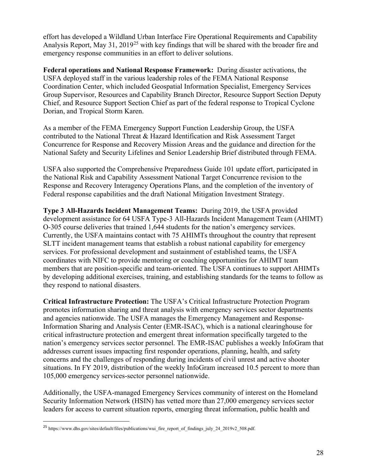effort has developed a Wildland Urban Interface Fire Operational Requirements and Capability Analysis Report, May 31, 2019<sup>[25](#page-28-0)</sup> with key findings that will be shared with the broader fire and emergency response communities in an effort to deliver solutions.

**Federal operations and National Response Framework:** During disaster activations, the USFA deployed staff in the various leadership roles of the FEMA National Response Coordination Center, which included Geospatial Information Specialist, Emergency Services Group Supervisor, Resources and Capability Branch Director, Resource Support Section Deputy Chief, and Resource Support Section Chief as part of the federal response to Tropical Cyclone Dorian, and Tropical Storm Karen.

As a member of the FEMA Emergency Support Function Leadership Group, the USFA contributed to the National Threat & Hazard Identification and Risk Assessment Target Concurrence for Response and Recovery Mission Areas and the guidance and direction for the National Safety and Security Lifelines and Senior Leadership Brief distributed through FEMA.

USFA also supported the Comprehensive Preparedness Guide 101 update effort, participated in the National Risk and Capability Assessment National Target Concurrence revision to the Response and Recovery Interagency Operations Plans, and the completion of the inventory of Federal response capabilities and the draft National Mitigation Investment Strategy.

**Type 3 All-Hazards Incident Management Teams:** During 2019, the USFA provided development assistance for 64 USFA Type-3 All-Hazards Incident Management Team (AHIMT) O-305 course deliveries that trained 1,644 students for the nation's emergency services. Currently, the USFA maintains contact with 75 AHIMTs throughout the country that represent SLTT incident management teams that establish a robust national capability for emergency services. For professional development and sustainment of established teams, the USFA coordinates with NIFC to provide mentoring or coaching opportunities for AHIMT team members that are position-specific and team-oriented. The USFA continues to support AHIMTs by developing additional exercises, training, and establishing standards for the teams to follow as they respond to national disasters.

**Critical Infrastructure Protection:** The USFA's Critical Infrastructure Protection Program promotes information sharing and threat analysis with emergency services sector departments and agencies nationwide. The USFA manages the Emergency Management and Response-Information Sharing and Analysis Center (EMR-ISAC), which is a national clearinghouse for critical infrastructure protection and emergent threat information specifically targeted to the nation's emergency services sector personnel. The EMR-ISAC publishes a weekly InfoGram that addresses current issues impacting first responder operations, planning, health, and safety concerns and the challenges of responding during incidents of civil unrest and active shooter situations. In FY 2019, distribution of the weekly InfoGram increased 10.5 percent to more than 105,000 emergency services-sector personnel nationwide.

Additionally, the USFA-managed Emergency Services community of interest on the Homeland Security Information Network (HSIN) has vetted more than 27,000 emergency services sector leaders for access to current situation reports, emerging threat information, public health and

<span id="page-28-0"></span><sup>&</sup>lt;sup>25</sup> https://www.dhs.gov/sites/default/files/publications/wui\_fire\_report\_of\_findings\_july\_24\_2019v2\_508.pdf.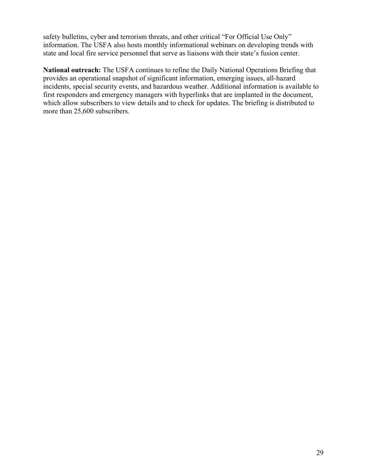safety bulletins, cyber and terrorism threats, and other critical "For Official Use Only" information. The USFA also hosts monthly informational webinars on developing trends with state and local fire service personnel that serve as liaisons with their state's fusion center.

**National outreach:** The USFA continues to refine the Daily National Operations Briefing that provides an operational snapshot of significant information, emerging issues, all-hazard incidents, special security events, and hazardous weather. Additional information is available to first responders and emergency managers with hyperlinks that are implanted in the document, which allow subscribers to view details and to check for updates. The briefing is distributed to more than 25,600 subscribers.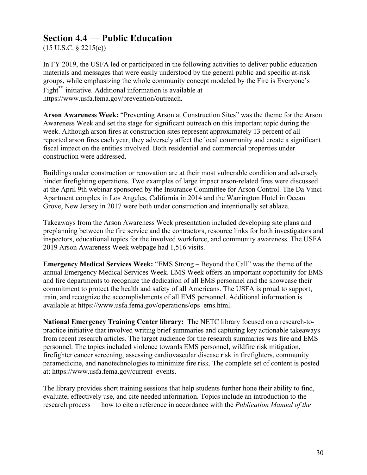### **Section 4.4 — Public Education**

 $(15 \text{ U.S.C. } § 2215(e))$ 

In FY 2019, the USFA led or participated in the following activities to deliver public education materials and messages that were easily understood by the general public and specific at-risk groups, while emphasizing the whole community concept modeled by the Fire is Everyone's  $Fight<sup>TM</sup>$  initiative. Additional information is available at <https://www.usfa.fema.gov/prevention/outreach.>

**Arson Awareness Week:** "Preventing Arson at Construction Sites" was the theme for the Arson Awareness Week and set the stage for significant outreach on this important topic during the week. Although arson fires at construction sites represent approximately 13 percent of all reported arson fires each year, they adversely affect the local community and create a significant fiscal impact on the entities involved. Both residential and commercial properties under construction were addressed.

Buildings under construction or renovation are at their most vulnerable condition and adversely hinder firefighting operations. Two examples of large impact arson-related fires were discussed at the April 9th webinar sponsored by the Insurance Committee for Arson Control. The Da Vinci Apartment complex in Los Angeles, California in 2014 and the Warrington Hotel in Ocean Grove, New Jersey in 2017 were both under construction and intentionally set ablaze.

Takeaways from the Arson Awareness Week presentation included developing site plans and preplanning between the fire service and the contractors, resource links for both investigators and inspectors, educational topics for the involved workforce, and community awareness. The USFA 2019 Arson Awareness Week webpage had 1,516 visits.

**Emergency Medical Services Week:** "EMS Strong – Beyond the Call" was the theme of the annual Emergency Medical Services Week. EMS Week offers an important opportunity for EMS and fire departments to recognize the dedication of all EMS personnel and the showcase their commitment to protect the health and safety of all Americans. The USFA is proud to support, train, and recognize the accomplishments of all EMS personnel. Additional information is available at [https://www.usfa.fema.gov/operations/ops\\_ems.html.](https://www.usfa.fema.gov/operations/ops_ems.html)

**National Emergency Training Center library:** The NETC library focused on a research-topractice initiative that involved writing brief summaries and capturing key actionable takeaways from recent research articles. The target audience for the research summaries was fire and EMS personnel. The topics included violence towards EMS personnel, wildfire risk mitigation, firefighter cancer screening, assessing cardiovascular disease risk in firefighters, community paramedicine, and nanotechnologies to minimize fire risk. The complete set of content is posted at: [https://www.usfa.fema.gov/current\\_events.](https://www.usfa.fema.gov/current_events)

The library provides short training sessions that help students further hone their ability to find, evaluate, effectively use, and cite needed information. Topics include an introduction to the research process — how to cite a reference in accordance with the *Publication Manual of the*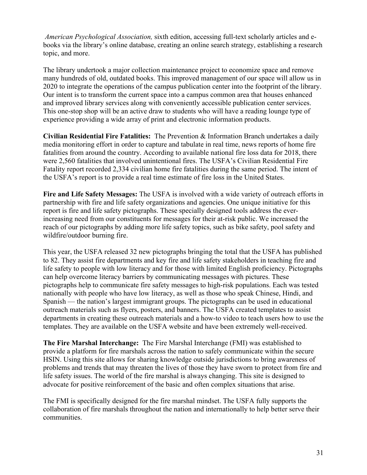*American Psychological Association,* sixth edition, accessing full-text scholarly articles and ebooks via the library's online database, creating an online search strategy, establishing a research topic, and more.

The library undertook a major collection maintenance project to economize space and remove many hundreds of old, outdated books. This improved management of our space will allow us in 2020 to integrate the operations of the campus publication center into the footprint of the library. Our intent is to transform the current space into a campus common area that houses enhanced and improved library services along with conveniently accessible publication center services. This one-stop shop will be an active draw to students who will have a reading lounge type of experience providing a wide array of print and electronic information products.

**Civilian Residential Fire Fatalities:** The Prevention & Information Branch undertakes a daily media monitoring effort in order to capture and tabulate in real time, news reports of home fire fatalities from around the country. According to available national fire loss data for 2018, there were 2,560 fatalities that involved unintentional fires. The USFA's Civilian Residential Fire Fatality report recorded 2,334 civilian home fire fatalities during the same period. The intent of the USFA's report is to provide a real time estimate of fire loss in the United States.

**Fire and Life Safety Messages:** The USFA is involved with a wide variety of outreach efforts in partnership with fire and life safety organizations and agencies. One unique initiative for this report is fire and life safety pictographs. These specially designed tools address the everincreasing need from our constituents for messages for their at-risk public. We increased the reach of our pictographs by adding more life safety topics, such as bike safety, pool safety and wildfire/outdoor burning fire.

This year, the USFA released 32 new pictographs bringing the total that the USFA has published to 82. They assist fire departments and key fire and life safety stakeholders in teaching fire and life safety to people with low literacy and for those with limited English proficiency. Pictographs can help overcome literacy barriers by communicating messages with pictures. These pictographs help to communicate fire safety messages to high-risk populations. Each was tested nationally with people who have low literacy, as well as those who speak Chinese, Hindi, and Spanish — the nation's largest immigrant groups. The pictographs can be used in educational outreach materials such as flyers, posters, and banners. The USFA created templates to assist departments in creating these outreach materials and a how-to video to teach users how to use the templates. They are available on the USFA website and have been extremely well-received.

**The Fire Marshal Interchange:** The Fire Marshal Interchange (FMI) was established to provide a platform for fire marshals across the nation to safely communicate within the secure HSIN. Using this site allows for sharing knowledge outside jurisdictions to bring awareness of problems and trends that may threaten the lives of those they have sworn to protect from fire and life safety issues. The world of the fire marshal is always changing. This site is designed to advocate for positive reinforcement of the basic and often complex situations that arise.

The FMI is specifically designed for the fire marshal mindset. The USFA fully supports the collaboration of fire marshals throughout the nation and internationally to help better serve their communities.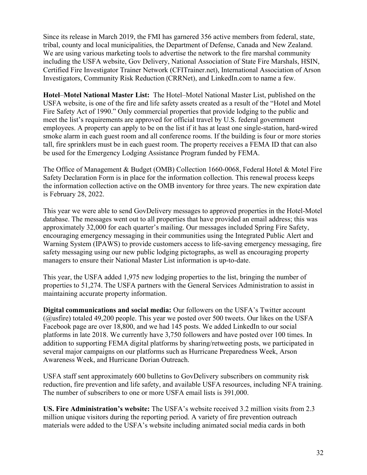Since its release in March 2019, the FMI has garnered 356 active members from federal, state, tribal, county and local municipalities, the Department of Defense, Canada and New Zealand. We are using various marketing tools to advertise the network to the fire marshal community including the USFA website, Gov Delivery, National Association of State Fire Marshals, HSIN, Certified Fire Investigator Trainer Network (CFITrainer.net), International Association of Arson Investigators, Community Risk Reduction (CRRNet), and LinkedIn.com to name a few.

**Hotel**–**Motel National Master List:** The Hotel–Motel National Master List, published on the USFA website, is one of the fire and life safety assets created as a result of the "Hotel and Motel Fire Safety Act of 1990." Only commercial properties that provide lodging to the public and meet the list's requirements are approved for official travel by U.S. federal government employees. A property can apply to be on the list if it has at least one single-station, hard-wired smoke alarm in each guest room and all conference rooms. If the building is four or more stories tall, fire sprinklers must be in each guest room. The property receives a FEMA ID that can also be used for the Emergency Lodging Assistance Program funded by FEMA.

The Office of Management & Budget (OMB) Collection 1660-0068, Federal Hotel & Motel Fire Safety Declaration Form is in place for the information collection. This renewal process keeps the information collection active on the OMB inventory for three years. The new expiration date is February 28, 2022.

This year we were able to send GovDelivery messages to approved properties in the Hotel-Motel database. The messages went out to all properties that have provided an email address; this was approximately 32,000 for each quarter's mailing. Our messages included Spring Fire Safety, encouraging emergency messaging in their communities using the Integrated Public Alert and Warning System (IPAWS) to provide customers access to life-saving emergency messaging, fire safety messaging using our new public lodging pictographs, as well as encouraging property managers to ensure their National Master List information is up-to-date.

This year, the USFA added 1,975 new lodging properties to the list, bringing the number of properties to 51,274. The USFA partners with the General Services Administration to assist in maintaining accurate property information.

**Digital communications and social media:** Our followers on the USFA's Twitter account (@usfire) totaled 49,200 people. This year we posted over 500 tweets. Our likes on the USFA Facebook page are over 18,800, and we had 145 posts. We added LinkedIn to our social platforms in late 2018. We currently have 3,750 followers and have posted over 100 times. In addition to supporting FEMA digital platforms by sharing/retweeting posts, we participated in several major campaigns on our platforms such as Hurricane Preparedness Week, Arson Awareness Week, and Hurricane Dorian Outreach.

USFA staff sent approximately 600 bulletins to GovDelivery subscribers on community risk reduction, fire prevention and life safety, and available USFA resources, including NFA training. The number of subscribers to one or more USFA email lists is 391,000.

**US. Fire Administration's website:** The USFA's website received 3.2 million visits from 2.3 million unique visitors during the reporting period. A variety of fire prevention outreach materials were added to the USFA's website including animated social media cards in both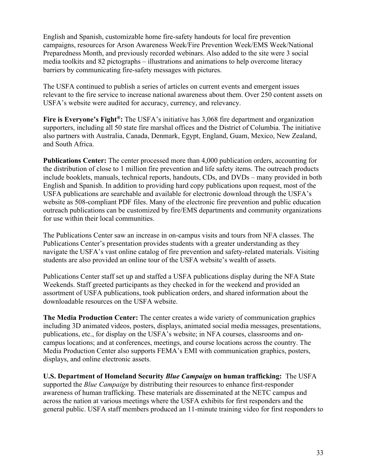English and Spanish, customizable home fire-safety handouts for local fire prevention campaigns, resources for Arson Awareness Week/Fire Prevention Week/EMS Week/National Preparedness Month, and previously recorded webinars. Also added to the site were 3 social media toolkits and 82 pictographs – illustrations and animations to help overcome literacy barriers by communicating fire-safety messages with pictures.

The USFA continued to publish a series of articles on current events and emergent issues relevant to the fire service to increase national awareness about them. Over 250 content assets on USFA's website were audited for accuracy, currency, and relevancy.

**Fire is Everyone's Fight®:** The USFA's initiative has 3,068 fire department and organization supporters, including all 50 state fire marshal offices and the District of Columbia. The initiative also partners with Australia, Canada, Denmark, Egypt, England, Guam, Mexico, New Zealand, and South Africa.

**Publications Center:** The center processed more than 4,000 publication orders, accounting for the distribution of close to 1 million fire prevention and life safety items. The outreach products include booklets, manuals, technical reports, handouts, CDs, and DVDs – many provided in both English and Spanish. In addition to providing hard copy publications upon request, most of the USFA publications are searchable and available for electronic download through the USFA's website as 508-compliant PDF files. Many of the electronic fire prevention and public education outreach publications can be customized by fire/EMS departments and community organizations for use within their local communities.

The Publications Center saw an increase in on-campus visits and tours from NFA classes. The Publications Center's presentation provides students with a greater understanding as they navigate the USFA's vast online catalog of fire prevention and safety-related materials. Visiting students are also provided an online tour of the USFA website's wealth of assets.

Publications Center staff set up and staffed a USFA publications display during the NFA State Weekends. Staff greeted participants as they checked in for the weekend and provided an assortment of USFA publications, took publication orders, and shared information about the downloadable resources on the USFA website.

**The Media Production Center:** The center creates a wide variety of communication graphics including 3D animated videos, posters, displays, animated social media messages, presentations, publications, etc., for display on the USFA's website; in NFA courses, classrooms and oncampus locations; and at conferences, meetings, and course locations across the country. The Media Production Center also supports FEMA's EMI with communication graphics, posters, displays, and online electronic assets.

**U.S. Department of Homeland Security** *Blue Campaign* **on human trafficking:** The USFA supported the *Blue Campaign* by distributing their resources to enhance first-responder awareness of human trafficking. These materials are disseminated at the NETC campus and across the nation at various meetings where the USFA exhibits for first responders and the general public. USFA staff members produced an 11-minute training video for first responders to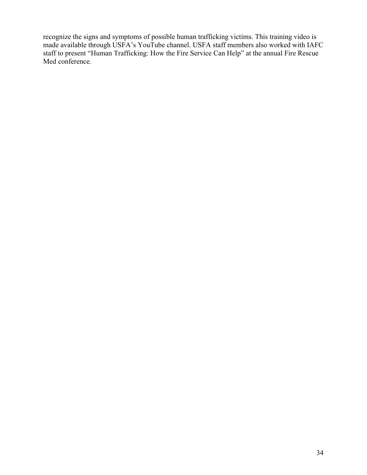recognize the signs and symptoms of possible human trafficking victims. This training video is made available through USFA's YouTube channel. USFA staff members also worked with IAFC staff to present "Human Trafficking: How the Fire Service Can Help" at the annual Fire Rescue Med conference.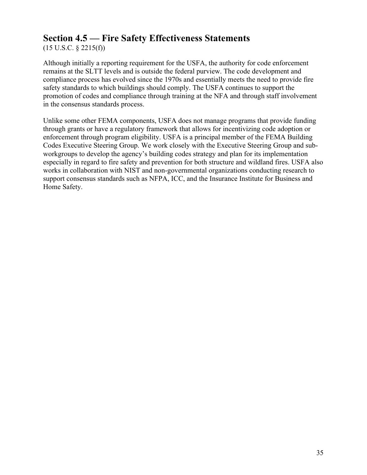### **Section 4.5 — Fire Safety Effectiveness Statements**

(15 U.S.C. § 2215(f))

Although initially a reporting requirement for the USFA, the authority for code enforcement remains at the SLTT levels and is outside the federal purview. The code development and compliance process has evolved since the 1970s and essentially meets the need to provide fire safety standards to which buildings should comply. The USFA continues to support the promotion of codes and compliance through training at the NFA and through staff involvement in the consensus standards process.

Unlike some other FEMA components, USFA does not manage programs that provide funding through grants or have a regulatory framework that allows for incentivizing code adoption or enforcement through program eligibility. USFA is a principal member of the FEMA Building Codes Executive Steering Group. We work closely with the Executive Steering Group and subworkgroups to develop the agency's building codes strategy and plan for its implementation especially in regard to fire safety and prevention for both structure and wildland fires. USFA also works in collaboration with NIST and non-governmental organizations conducting research to support consensus standards such as NFPA, ICC, and the Insurance Institute for Business and Home Safety.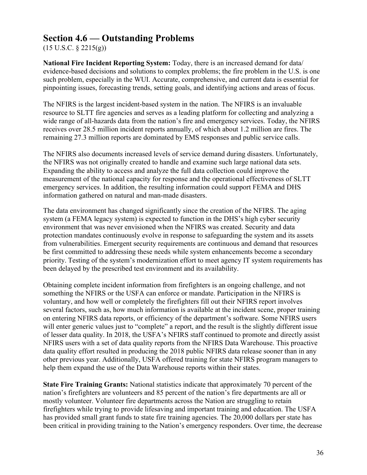### **Section 4.6 — Outstanding Problems**

 $(15 \text{ U.S.C. } § 2215(g))$ 

**National Fire Incident Reporting System:** Today, there is an increased demand for data/ evidence-based decisions and solutions to complex problems; the fire problem in the U.S. is one such problem, especially in the WUI. Accurate, comprehensive, and current data is essential for pinpointing issues, forecasting trends, setting goals, and identifying actions and areas of focus.

The NFIRS is the largest incident-based system in the nation. The NFIRS is an invaluable resource to SLTT fire agencies and serves as a leading platform for collecting and analyzing a wide range of all-hazards data from the nation's fire and emergency services. Today, the NFIRS receives over 28.5 million incident reports annually, of which about 1.2 million are fires. The remaining 27.3 million reports are dominated by EMS responses and public service calls.

The NFIRS also documents increased levels of service demand during disasters. Unfortunately, the NFIRS was not originally created to handle and examine such large national data sets. Expanding the ability to access and analyze the full data collection could improve the measurement of the national capacity for response and the operational effectiveness of SLTT emergency services. In addition, the resulting information could support FEMA and DHS information gathered on natural and man-made disasters.

The data environment has changed significantly since the creation of the NFIRS. The aging system (a FEMA legacy system) is expected to function in the DHS's high cyber security environment that was never envisioned when the NFIRS was created. Security and data protection mandates continuously evolve in response to safeguarding the system and its assets from vulnerabilities. Emergent security requirements are continuous and demand that resources be first committed to addressing these needs while system enhancements become a secondary priority. Testing of the system's modernization effort to meet agency IT system requirements has been delayed by the prescribed test environment and its availability.

Obtaining complete incident information from firefighters is an ongoing challenge, and not something the NFIRS or the USFA can enforce or mandate. Participation in the NFIRS is voluntary, and how well or completely the firefighters fill out their NFIRS report involves several factors, such as, how much information is available at the incident scene, proper training on entering NFIRS data reports, or efficiency of the department's software. Some NFIRS users will enter generic values just to "complete" a report, and the result is the slightly different issue of lesser data quality. In 2018, the USFA's NFIRS staff continued to promote and directly assist NFIRS users with a set of data quality reports from the NFIRS Data Warehouse. This proactive data quality effort resulted in producing the 2018 public NFIRS data release sooner than in any other previous year. Additionally, USFA offered training for state NFIRS program managers to help them expand the use of the Data Warehouse reports within their states.

**State Fire Training Grants:** National statistics indicate that approximately 70 percent of the nation's firefighters are volunteers and 85 percent of the nation's fire departments are all or mostly volunteer. Volunteer fire departments across the Nation are struggling to retain firefighters while trying to provide lifesaving and important training and education. The USFA has provided small grant funds to state fire training agencies. The 20,000 dollars per state has been critical in providing training to the Nation's emergency responders. Over time, the decrease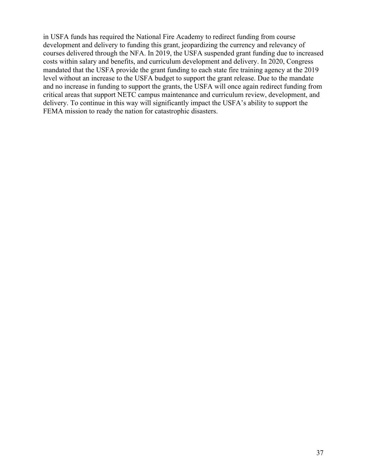in USFA funds has required the National Fire Academy to redirect funding from course development and delivery to funding this grant, jeopardizing the currency and relevancy of courses delivered through the NFA. In 2019, the USFA suspended grant funding due to increased costs within salary and benefits, and curriculum development and delivery. In 2020, Congress mandated that the USFA provide the grant funding to each state fire training agency at the 2019 level without an increase to the USFA budget to support the grant release. Due to the mandate and no increase in funding to support the grants, the USFA will once again redirect funding from critical areas that support NETC campus maintenance and curriculum review, development, and delivery. To continue in this way will significantly impact the USFA's ability to support the FEMA mission to ready the nation for catastrophic disasters.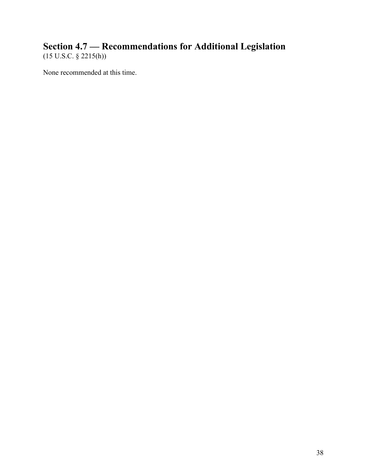### **Section 4.7 — Recommendations for Additional Legislation** (15 U.S.C. § 2215(h))

None recommended at this time.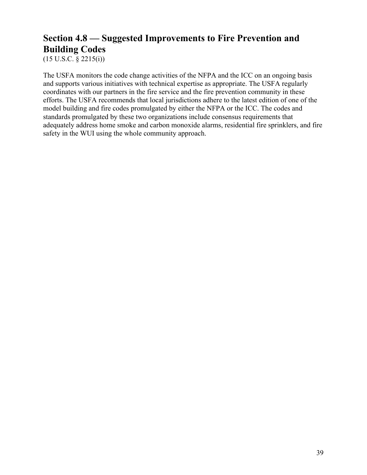# **Section 4.8 — Suggested Improvements to Fire Prevention and Building Codes**

 $(15 \text{ U.S.C. } § 2215(i))$ 

The USFA monitors the code change activities of the NFPA and the ICC on an ongoing basis and supports various initiatives with technical expertise as appropriate. The USFA regularly coordinates with our partners in the fire service and the fire prevention community in these efforts. The USFA recommends that local jurisdictions adhere to the latest edition of one of the model building and fire codes promulgated by either the NFPA or the ICC. The codes and standards promulgated by these two organizations include consensus requirements that adequately address home smoke and carbon monoxide alarms, residential fire sprinklers, and fire safety in the WUI using the whole community approach.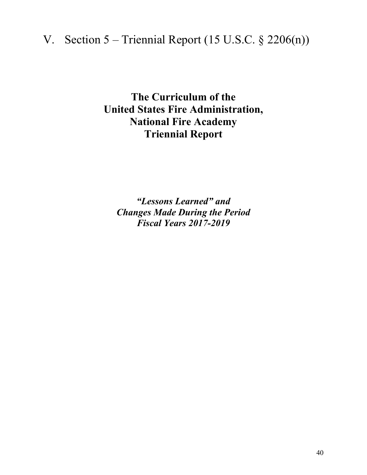# V. Section  $5 -$  Triennial Report (15 U.S.C. § 2206(n))

**The Curriculum of the United States Fire Administration, National Fire Academy Triennial Report** 

*"Lessons Learned" and Changes Made During the Period Fiscal Years 2017-2019*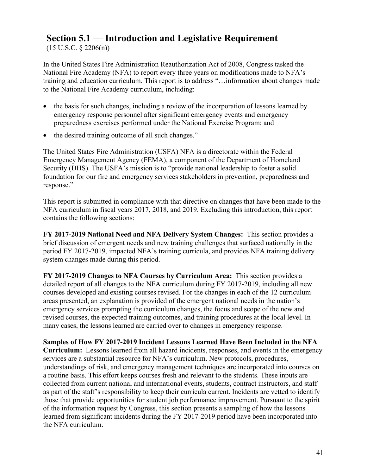### **Section 5.1 — Introduction and Legislative Requirement**

 $(15 \text{ U.S.C. } § 2206(n))$ 

In the United States Fire Administration Reauthorization Act of 2008, Congress tasked the National Fire Academy (NFA) to report every three years on modifications made to NFA's training and education curriculum. This report is to address "…information about changes made to the National Fire Academy curriculum, including:

- the basis for such changes, including a review of the incorporation of lessons learned by emergency response personnel after significant emergency events and emergency preparedness exercises performed under the National Exercise Program; and
- the desired training outcome of all such changes."

The United States Fire Administration (USFA) NFA is a directorate within the Federal Emergency Management Agency (FEMA), a component of the Department of Homeland Security (DHS). The USFA's mission is to "provide national leadership to foster a solid foundation for our fire and emergency services stakeholders in prevention, preparedness and response."

This report is submitted in compliance with that directive on changes that have been made to the NFA curriculum in fiscal years 2017, 2018, and 2019. Excluding this introduction, this report contains the following sections:

**FY 2017-2019 National Need and NFA Delivery System Changes:** This section provides a brief discussion of emergent needs and new training challenges that surfaced nationally in the period FY 2017-2019, impacted NFA's training curricula, and provides NFA training delivery system changes made during this period.

**FY 2017-2019 Changes to NFA Courses by Curriculum Area:** This section provides a detailed report of all changes to the NFA curriculum during FY 2017-2019, including all new courses developed and existing courses revised. For the changes in each of the 12 curriculum areas presented, an explanation is provided of the emergent national needs in the nation's emergency services prompting the curriculum changes, the focus and scope of the new and revised courses, the expected training outcomes, and training procedures at the local level. In many cases, the lessons learned are carried over to changes in emergency response.

**Samples of How FY 2017-2019 Incident Lessons Learned Have Been Included in the NFA Curriculum:** Lessons learned from all hazard incidents, responses, and events in the emergency services are a substantial resource for NFA's curriculum. New protocols, procedures, understandings of risk, and emergency management techniques are incorporated into courses on a routine basis. This effort keeps courses fresh and relevant to the students. These inputs are collected from current national and international events, students, contract instructors, and staff as part of the staff's responsibility to keep their curricula current. Incidents are vetted to identify those that provide opportunities for student job performance improvement. Pursuant to the spirit of the information request by Congress, this section presents a sampling of how the lessons learned from significant incidents during the FY 2017-2019 period have been incorporated into the NFA curriculum.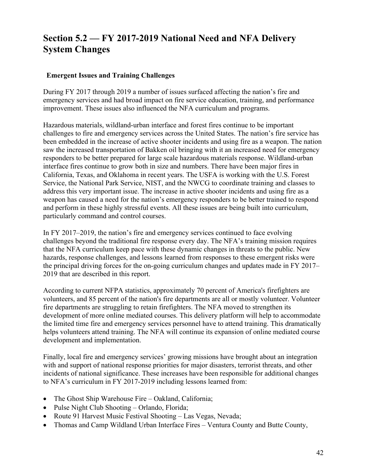### **Section 5.2 — FY 2017-2019 National Need and NFA Delivery System Changes**

#### **Emergent Issues and Training Challenges**

During FY 2017 through 2019 a number of issues surfaced affecting the nation's fire and emergency services and had broad impact on fire service education, training, and performance improvement. These issues also influenced the NFA curriculum and programs.

Hazardous materials, wildland-urban interface and forest fires continue to be important challenges to fire and emergency services across the United States. The nation's fire service has been embedded in the increase of active shooter incidents and using fire as a weapon. The nation saw the increased transportation of Bakken oil bringing with it an increased need for emergency responders to be better prepared for large scale hazardous materials response. Wildland-urban interface fires continue to grow both in size and numbers. There have been major fires in California, Texas, and Oklahoma in recent years. The USFA is working with the U.S. Forest Service, the National Park Service, NIST, and the NWCG to coordinate training and classes to address this very important issue. The increase in active shooter incidents and using fire as a weapon has caused a need for the nation's emergency responders to be better trained to respond and perform in these highly stressful events. All these issues are being built into curriculum, particularly command and control courses.

In FY 2017–2019, the nation's fire and emergency services continued to face evolving challenges beyond the traditional fire response every day. The NFA's training mission requires that the NFA curriculum keep pace with these dynamic changes in threats to the public. New hazards, response challenges, and lessons learned from responses to these emergent risks were the principal driving forces for the on-going curriculum changes and updates made in FY 2017– 2019 that are described in this report.

According to current NFPA statistics, approximately 70 percent of America's firefighters are volunteers, and 85 percent of the nation's fire departments are all or mostly volunteer. Volunteer fire departments are struggling to retain firefighters. The NFA moved to strengthen its development of more online mediated courses. This delivery platform will help to accommodate the limited time fire and emergency services personnel have to attend training. This dramatically helps volunteers attend training. The NFA will continue its expansion of online mediated course development and implementation.

Finally, local fire and emergency services' growing missions have brought about an integration with and support of national response priorities for major disasters, terrorist threats, and other incidents of national significance. These increases have been responsible for additional changes to NFA's curriculum in FY 2017-2019 including lessons learned from:

- The Ghost Ship Warehouse Fire Oakland, California;
- Pulse Night Club Shooting Orlando, Florida;
- Route 91 Harvest Music Festival Shooting Las Vegas, Nevada;
- Thomas and Camp Wildland Urban Interface Fires Ventura County and Butte County,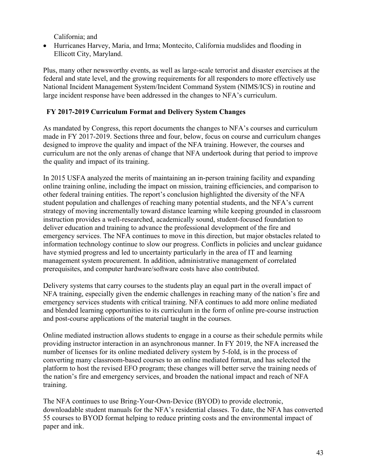California; and

• Hurricanes Harvey, Maria, and Irma; Montecito, California mudslides and flooding in Ellicott City, Maryland.

Plus, many other newsworthy events, as well as large-scale terrorist and disaster exercises at the federal and state level, and the growing requirements for all responders to more effectively use National Incident Management System/Incident Command System (NIMS/ICS) in routine and large incident response have been addressed in the changes to NFA's curriculum.

#### **FY 2017-2019 Curriculum Format and Delivery System Changes**

As mandated by Congress, this report documents the changes to NFA's courses and curriculum made in FY 2017-2019. Sections three and four, below, focus on course and curriculum changes designed to improve the quality and impact of the NFA training. However, the courses and curriculum are not the only arenas of change that NFA undertook during that period to improve the quality and impact of its training.

In 2015 USFA analyzed the merits of maintaining an in-person training facility and expanding online training online, including the impact on mission, training efficiencies, and comparison to other federal training entities. The report's conclusion highlighted the diversity of the NFA student population and challenges of reaching many potential students, and the NFA's current strategy of moving incrementally toward distance learning while keeping grounded in classroom instruction provides a well-researched, academically sound, student-focused foundation to deliver education and training to advance the professional development of the fire and emergency services. The NFA continues to move in this direction, but major obstacles related to information technology continue to slow our progress. Conflicts in policies and unclear guidance have stymied progress and led to uncertainty particularly in the area of IT and learning management system procurement. In addition, administrative management of correlated prerequisites, and computer hardware/software costs have also contributed.

Delivery systems that carry courses to the students play an equal part in the overall impact of NFA training, especially given the endemic challenges in reaching many of the nation's fire and emergency services students with critical training. NFA continues to add more online mediated and blended learning opportunities to its curriculum in the form of online pre-course instruction and post-course applications of the material taught in the courses.

Online mediated instruction allows students to engage in a course as their schedule permits while providing instructor interaction in an asynchronous manner. In FY 2019, the NFA increased the number of licenses for its online mediated delivery system by 5-fold, is in the process of converting many classroom-based courses to an online mediated format, and has selected the platform to host the revised EFO program; these changes will better serve the training needs of the nation's fire and emergency services, and broaden the national impact and reach of NFA training.

The NFA continues to use Bring-Your-Own-Device (BYOD) to provide electronic, downloadable student manuals for the NFA's residential classes. To date, the NFA has converted 55 courses to BYOD format helping to reduce printing costs and the environmental impact of paper and ink.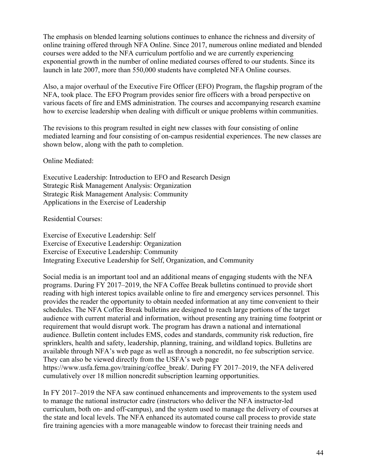The emphasis on blended learning solutions continues to enhance the richness and diversity of online training offered through NFA Online. Since 2017, numerous online mediated and blended courses were added to the NFA curriculum portfolio and we are currently experiencing exponential growth in the number of online mediated courses offered to our students. Since its launch in late 2007, more than 550,000 students have completed NFA Online courses.

Also, a major overhaul of the Executive Fire Officer (EFO) Program, the flagship program of the NFA, took place. The EFO Program provides senior fire officers with a broad perspective on various facets of fire and EMS administration. The courses and accompanying research examine how to exercise leadership when dealing with difficult or unique problems within communities.

The revisions to this program resulted in eight new classes with four consisting of online mediated learning and four consisting of on-campus residential experiences. The new classes are shown below, along with the path to completion.

Online Mediated:

Executive Leadership: Introduction to EFO and Research Design Strategic Risk Management Analysis: Organization Strategic Risk Management Analysis: Community Applications in the Exercise of Leadership

Residential Courses:

Exercise of Executive Leadership: Self Exercise of Executive Leadership: Organization Exercise of Executive Leadership: Community Integrating Executive Leadership for Self, Organization, and Community

Social media is an important tool and an additional means of engaging students with the NFA programs. During FY 2017–2019, the NFA Coffee Break bulletins continued to provide short reading with high interest topics available online to fire and emergency services personnel. This provides the reader the opportunity to obtain needed information at any time convenient to their schedules. The NFA Coffee Break bulletins are designed to reach large portions of the target audience with current material and information, without presenting any training time footprint or requirement that would disrupt work. The program has drawn a national and international audience. Bulletin content includes EMS, codes and standards, community risk reduction, fire sprinklers, health and safety, leadership, planning, training, and wildland topics. Bulletins are available through NFA's web page as well as through a noncredit, no fee subscription service. They can also be viewed directly from the USFA's web page https://www.usfa.fema.gov/training/coffee break/. During FY 2017–2019, the NFA delivered cumulatively over 18 million noncredit subscription learning opportunities.

In FY 2017–2019 the NFA saw continued enhancements and improvements to the system used to manage the national instructor cadre (instructors who deliver the NFA instructor-led curriculum, both on- and off-campus), and the system used to manage the delivery of courses at the state and local levels. The NFA enhanced its automated course call process to provide state fire training agencies with a more manageable window to forecast their training needs and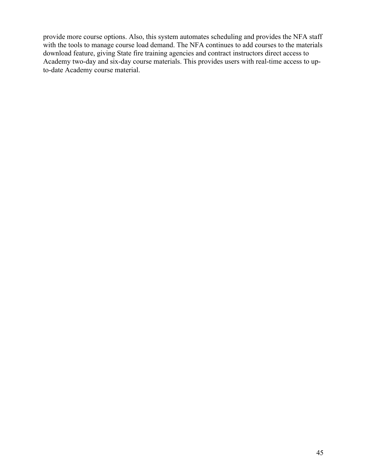provide more course options. Also, this system automates scheduling and provides the NFA staff with the tools to manage course load demand. The NFA continues to add courses to the materials download feature, giving State fire training agencies and contract instructors direct access to Academy two-day and six-day course materials. This provides users with real-time access to upto-date Academy course material.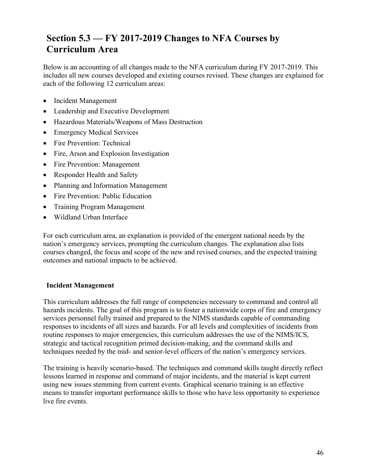## **Section 5.3 — FY 2017-2019 Changes to NFA Courses by Curriculum Area**

Below is an accounting of all changes made to the NFA curriculum during FY 2017-2019. This includes all new courses developed and existing courses revised. These changes are explained for each of the following 12 curriculum areas:

- Incident Management
- Leadership and Executive Development
- Hazardous Materials/Weapons of Mass Destruction
- Emergency Medical Services
- Fire Prevention: Technical
- Fire, Arson and Explosion Investigation
- Fire Prevention: Management
- Responder Health and Safety
- Planning and Information Management
- Fire Prevention: Public Education
- Training Program Management
- Wildland Urban Interface

For each curriculum area, an explanation is provided of the emergent national needs by the nation's emergency services, prompting the curriculum changes. The explanation also lists courses changed, the focus and scope of the new and revised courses, and the expected training outcomes and national impacts to be achieved.

#### **Incident Management**

This curriculum addresses the full range of competencies necessary to command and control all hazards incidents. The goal of this program is to foster a nationwide corps of fire and emergency services personnel fully trained and prepared to the NIMS standards capable of commanding responses to incidents of all sizes and hazards. For all levels and complexities of incidents from routine responses to major emergencies, this curriculum addresses the use of the NIMS/ICS, strategic and tactical recognition primed decision-making, and the command skills and techniques needed by the mid- and senior-level officers of the nation's emergency services.

The training is heavily scenario-based. The techniques and command skills taught directly reflect lessons learned in response and command of major incidents, and the material is kept current using new issues stemming from current events. Graphical scenario training is an effective means to transfer important performance skills to those who have less opportunity to experience live fire events.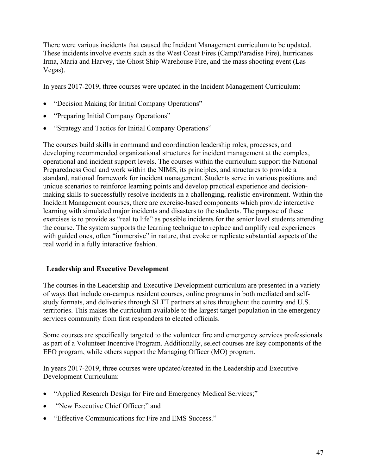There were various incidents that caused the Incident Management curriculum to be updated. These incidents involve events such as the West Coast Fires (Camp/Paradise Fire), hurricanes Irma, Maria and Harvey, the Ghost Ship Warehouse Fire, and the mass shooting event (Las Vegas).

In years 2017-2019, three courses were updated in the Incident Management Curriculum:

- "Decision Making for Initial Company Operations"
- "Preparing Initial Company Operations"
- "Strategy and Tactics for Initial Company Operations"

The courses build skills in command and coordination leadership roles, processes, and developing recommended organizational structures for incident management at the complex, operational and incident support levels. The courses within the curriculum support the National Preparedness Goal and work within the NIMS, its principles, and structures to provide a standard, national framework for incident management. Students serve in various positions and unique scenarios to reinforce learning points and develop practical experience and decisionmaking skills to successfully resolve incidents in a challenging, realistic environment. Within the Incident Management courses, there are exercise-based components which provide interactive learning with simulated major incidents and disasters to the students. The purpose of these exercises is to provide as "real to life" as possible incidents for the senior level students attending the course. The system supports the learning technique to replace and amplify real experiences with guided ones, often "immersive" in nature, that evoke or replicate substantial aspects of the real world in a fully interactive fashion.

#### **Leadership and Executive Development**

The courses in the Leadership and Executive Development curriculum are presented in a variety of ways that include on-campus resident courses, online programs in both mediated and selfstudy formats, and deliveries through SLTT partners at sites throughout the country and U.S. territories. This makes the curriculum available to the largest target population in the emergency services community from first responders to elected officials.

Some courses are specifically targeted to the volunteer fire and emergency services professionals as part of a Volunteer Incentive Program. Additionally, select courses are key components of the EFO program, while others support the Managing Officer (MO) program.

In years 2017-2019, three courses were updated/created in the Leadership and Executive Development Curriculum:

- "Applied Research Design for Fire and Emergency Medical Services;"
- "New Executive Chief Officer;" and
- "Effective Communications for Fire and EMS Success."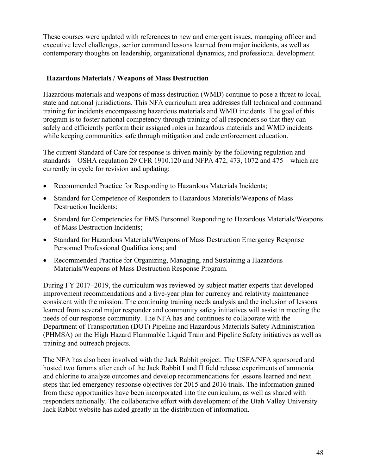These courses were updated with references to new and emergent issues, managing officer and executive level challenges, senior command lessons learned from major incidents, as well as contemporary thoughts on leadership, organizational dynamics, and professional development.

#### **Hazardous Materials / Weapons of Mass Destruction**

Hazardous materials and weapons of mass destruction (WMD) continue to pose a threat to local, state and national jurisdictions. This NFA curriculum area addresses full technical and command training for incidents encompassing hazardous materials and WMD incidents. The goal of this program is to foster national competency through training of all responders so that they can safely and efficiently perform their assigned roles in hazardous materials and WMD incidents while keeping communities safe through mitigation and code enforcement education.

The current Standard of Care for response is driven mainly by the following regulation and standards  $-$  OSHA regulation 29 CFR 1910.120 and NFPA 472, 473, 1072 and 475  $-$  which are currently in cycle for revision and updating:

- Recommended Practice for Responding to Hazardous Materials Incidents;
- Standard for Competence of Responders to Hazardous Materials/Weapons of Mass Destruction Incidents;
- Standard for Competencies for EMS Personnel Responding to Hazardous Materials/Weapons of Mass Destruction Incidents;
- Standard for Hazardous Materials/Weapons of Mass Destruction Emergency Response Personnel Professional Qualifications; and
- Recommended Practice for Organizing, Managing, and Sustaining a Hazardous Materials/Weapons of Mass Destruction Response Program.

During FY 2017–2019, the curriculum was reviewed by subject matter experts that developed improvement recommendations and a five-year plan for currency and relativity maintenance consistent with the mission. The continuing training needs analysis and the inclusion of lessons learned from several major responder and community safety initiatives will assist in meeting the needs of our response community. The NFA has and continues to collaborate with the Department of Transportation (DOT) Pipeline and Hazardous Materials Safety Administration (PHMSA) on the High Hazard Flammable Liquid Train and Pipeline Safety initiatives as well as training and outreach projects.

The NFA has also been involved with the Jack Rabbit project. The USFA/NFA sponsored and hosted two forums after each of the Jack Rabbit I and II field release experiments of ammonia and chlorine to analyze outcomes and develop recommendations for lessons learned and next steps that led emergency response objectives for 2015 and 2016 trials. The information gained from these opportunities have been incorporated into the curriculum, as well as shared with responders nationally. The collaborative effort with development of the Utah Valley University Jack Rabbit website has aided greatly in the distribution of information.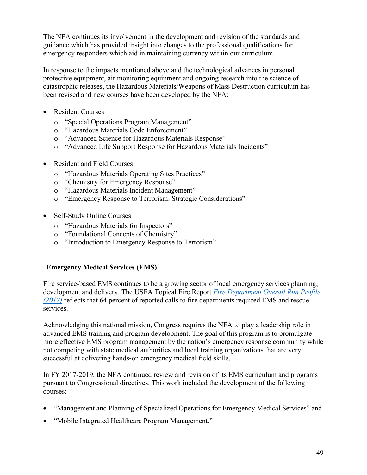The NFA continues its involvement in the development and revision of the standards and guidance which has provided insight into changes to the professional qualifications for emergency responders which aid in maintaining currency within our curriculum.

In response to the impacts mentioned above and the technological advances in personal protective equipment, air monitoring equipment and ongoing research into the science of catastrophic releases, the Hazardous Materials/Weapons of Mass Destruction curriculum has been revised and new courses have been developed by the NFA:

- Resident Courses
	- o "Special Operations Program Management"
	- o "Hazardous Materials Code Enforcement"
	- o "Advanced Science for Hazardous Materials Response"
	- o "Advanced Life Support Response for Hazardous Materials Incidents"
- Resident and Field Courses
	- o "Hazardous Materials Operating Sites Practices"
	- o "Chemistry for Emergency Response"
	- o "Hazardous Materials Incident Management"
	- o "Emergency Response to Terrorism: Strategic Considerations"
- Self-Study Online Courses
	- o "Hazardous Materials for Inspectors"
	- o "Foundational Concepts of Chemistry"
	- o "Introduction to Emergency Response to Terrorism"

#### **Emergency Medical Services (EMS)**

Fire service-based EMS continues to be a growing sector of local emergency services planning, development and delivery. The USFA Topical Fire Report *[Fire Department Overall Run Profile](https://www.usfa.fema.gov/data/statistics/reports/run_profile_v20i1.html)  [\(2017\)](https://www.usfa.fema.gov/data/statistics/reports/run_profile_v20i1.html)* reflects that 64 percent of reported calls to fire departments required EMS and rescue services.

Acknowledging this national mission, Congress requires the NFA to play a leadership role in advanced EMS training and program development. The goal of this program is to promulgate more effective EMS program management by the nation's emergency response community while not competing with state medical authorities and local training organizations that are very successful at delivering hands-on emergency medical field skills.

In FY 2017-2019, the NFA continued review and revision of its EMS curriculum and programs pursuant to Congressional directives. This work included the development of the following courses:

- "Management and Planning of Specialized Operations for Emergency Medical Services" and
- "Mobile Integrated Healthcare Program Management."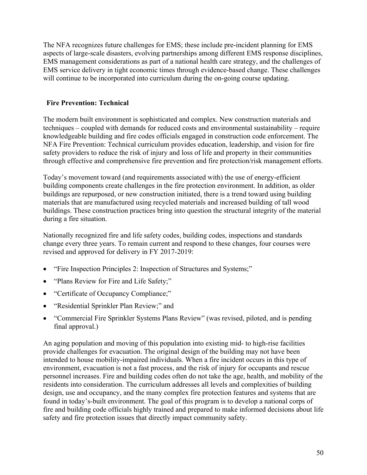The NFA recognizes future challenges for EMS; these include pre-incident planning for EMS aspects of large-scale disasters, evolving partnerships among different EMS response disciplines, EMS management considerations as part of a national health care strategy, and the challenges of EMS service delivery in tight economic times through evidence-based change. These challenges will continue to be incorporated into curriculum during the on-going course updating.

#### **Fire Prevention: Technical**

The modern built environment is sophisticated and complex. New construction materials and techniques – coupled with demands for reduced costs and environmental sustainability – require knowledgeable building and fire codes officials engaged in construction code enforcement. The NFA Fire Prevention: Technical curriculum provides education, leadership, and vision for fire safety providers to reduce the risk of injury and loss of life and property in their communities through effective and comprehensive fire prevention and fire protection/risk management efforts.

Today's movement toward (and requirements associated with) the use of energy-efficient building components create challenges in the fire protection environment. In addition, as older buildings are repurposed, or new construction initiated, there is a trend toward using building materials that are manufactured using recycled materials and increased building of tall wood buildings. These construction practices bring into question the structural integrity of the material during a fire situation.

Nationally recognized fire and life safety codes, building codes, inspections and standards change every three years. To remain current and respond to these changes, four courses were revised and approved for delivery in FY 2017-2019:

- "Fire Inspection Principles 2: Inspection of Structures and Systems;"
- "Plans Review for Fire and Life Safety;"
- "Certificate of Occupancy Compliance;"
- "Residential Sprinkler Plan Review;" and
- "Commercial Fire Sprinkler Systems Plans Review" (was revised, piloted, and is pending final approval.)

An aging population and moving of this population into existing mid- to high-rise facilities provide challenges for evacuation. The original design of the building may not have been intended to house mobility-impaired individuals. When a fire incident occurs in this type of environment, evacuation is not a fast process, and the risk of injury for occupants and rescue personnel increases. Fire and building codes often do not take the age, health, and mobility of the residents into consideration. The curriculum addresses all levels and complexities of building design, use and occupancy, and the many complex fire protection features and systems that are found in today's-built environment. The goal of this program is to develop a national corps of fire and building code officials highly trained and prepared to make informed decisions about life safety and fire protection issues that directly impact community safety.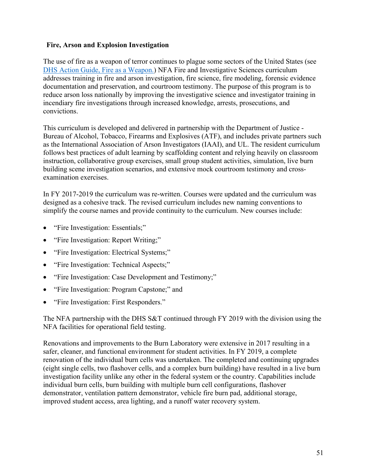#### **Fire, Arson and Explosion Investigation**

The use of fire as a weapon of terror continues to plague some sectors of the United States (see [DHS Action Guide, Fire as a Weapon.](https://www.dhs.gov/sites/default/files/publications/Action-Guide-Fire-as-a-Weapon-11212018-508.pdf)) NFA Fire and Investigative Sciences curriculum addresses training in fire and arson investigation, fire science, fire modeling, forensic evidence documentation and preservation, and courtroom testimony. The purpose of this program is to reduce arson loss nationally by improving the investigative science and investigator training in incendiary fire investigations through increased knowledge, arrests, prosecutions, and convictions.

This curriculum is developed and delivered in partnership with the Department of Justice - Bureau of Alcohol, Tobacco, Firearms and Explosives (ATF), and includes private partners such as the International Association of Arson Investigators (IAAI), and UL. The resident curriculum follows best practices of adult learning by scaffolding content and relying heavily on classroom instruction, collaborative group exercises, small group student activities, simulation, live burn building scene investigation scenarios, and extensive mock courtroom testimony and crossexamination exercises.

In FY 2017-2019 the curriculum was re-written. Courses were updated and the curriculum was designed as a cohesive track. The revised curriculum includes new naming conventions to simplify the course names and provide continuity to the curriculum. New courses include:

- "Fire Investigation: Essentials;"
- "Fire Investigation: Report Writing;"
- "Fire Investigation: Electrical Systems;"
- "Fire Investigation: Technical Aspects;"
- "Fire Investigation: Case Development and Testimony;"
- "Fire Investigation: Program Capstone;" and
- "Fire Investigation: First Responders."

The NFA partnership with the DHS S&T continued through FY 2019 with the division using the NFA facilities for operational field testing.

Renovations and improvements to the Burn Laboratory were extensive in 2017 resulting in a safer, cleaner, and functional environment for student activities. In FY 2019, a complete renovation of the individual burn cells was undertaken. The completed and continuing upgrades (eight single cells, two flashover cells, and a complex burn building) have resulted in a live burn investigation facility unlike any other in the federal system or the country. Capabilities include individual burn cells, burn building with multiple burn cell configurations, flashover demonstrator, ventilation pattern demonstrator, vehicle fire burn pad, additional storage, improved student access, area lighting, and a runoff water recovery system.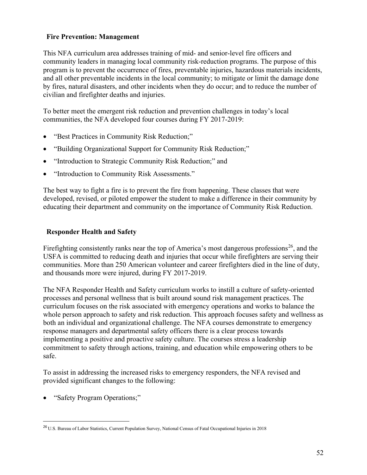#### **Fire Prevention: Management**

This NFA curriculum area addresses training of mid- and senior-level fire officers and community leaders in managing local community risk-reduction programs. The purpose of this program is to prevent the occurrence of fires, preventable injuries, hazardous materials incidents, and all other preventable incidents in the local community; to mitigate or limit the damage done by fires, natural disasters, and other incidents when they do occur; and to reduce the number of civilian and firefighter deaths and injuries.

To better meet the emergent risk reduction and prevention challenges in today's local communities, the NFA developed four courses during FY 2017-2019:

- "Best Practices in Community Risk Reduction;"
- "Building Organizational Support for Community Risk Reduction;"
- "Introduction to Strategic Community Risk Reduction;" and
- "Introduction to Community Risk Assessments."

The best way to fight a fire is to prevent the fire from happening. These classes that were developed, revised, or piloted empower the student to make a difference in their community by educating their department and community on the importance of Community Risk Reduction.

#### **Responder Health and Safety**

Firefighting consistently ranks near the top of America's most dangerous professions<sup>[26](#page-52-0)</sup>, and the USFA is committed to reducing death and injuries that occur while firefighters are serving their communities. More than 250 American volunteer and career firefighters died in the line of duty, and thousands more were injured, during FY 2017-2019.

The NFA Responder Health and Safety curriculum works to instill a culture of safety-oriented processes and personal wellness that is built around sound risk management practices. The curriculum focuses on the risk associated with emergency operations and works to balance the whole person approach to safety and risk reduction. This approach focuses safety and wellness as both an individual and organizational challenge. The NFA courses demonstrate to emergency response managers and departmental safety officers there is a clear process towards implementing a positive and proactive safety culture. The courses stress a leadership commitment to safety through actions, training, and education while empowering others to be safe.

To assist in addressing the increased risks to emergency responders, the NFA revised and provided significant changes to the following:

• "Safety Program Operations;"

<span id="page-52-0"></span><sup>26</sup> U.S. Bureau of Labor Statistics, Current Population Survey, National Census of Fatal Occupational Injuries in 2018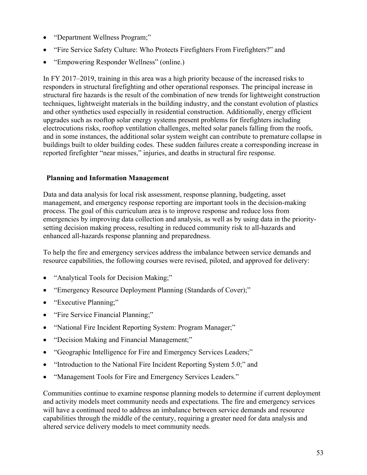- "Department Wellness Program;"
- "Fire Service Safety Culture: Who Protects Firefighters From Firefighters?" and
- "Empowering Responder Wellness" (online.)

In FY 2017–2019, training in this area was a high priority because of the increased risks to responders in structural firefighting and other operational responses. The principal increase in structural fire hazards is the result of the combination of new trends for lightweight construction techniques, lightweight materials in the building industry, and the constant evolution of plastics and other synthetics used especially in residential construction. Additionally, energy efficient upgrades such as rooftop solar energy systems present problems for firefighters including electrocutions risks, rooftop ventilation challenges, melted solar panels falling from the roofs, and in some instances, the additional solar system weight can contribute to premature collapse in buildings built to older building codes. These sudden failures create a corresponding increase in reported firefighter "near misses," injuries, and deaths in structural fire response.

#### **Planning and Information Management**

Data and data analysis for local risk assessment, response planning, budgeting, asset management, and emergency response reporting are important tools in the decision-making process. The goal of this curriculum area is to improve response and reduce loss from emergencies by improving data collection and analysis, as well as by using data in the prioritysetting decision making process, resulting in reduced community risk to all-hazards and enhanced all-hazards response planning and preparedness.

To help the fire and emergency services address the imbalance between service demands and resource capabilities, the following courses were revised, piloted, and approved for delivery:

- "Analytical Tools for Decision Making;"
- "Emergency Resource Deployment Planning (Standards of Cover);"
- "Executive Planning;"
- "Fire Service Financial Planning;"
- "National Fire Incident Reporting System: Program Manager;"
- "Decision Making and Financial Management;"
- "Geographic Intelligence for Fire and Emergency Services Leaders;"
- "Introduction to the National Fire Incident Reporting System 5.0;" and
- "Management Tools for Fire and Emergency Services Leaders."

Communities continue to examine response planning models to determine if current deployment and activity models meet community needs and expectations. The fire and emergency services will have a continued need to address an imbalance between service demands and resource capabilities through the middle of the century, requiring a greater need for data analysis and altered service delivery models to meet community needs.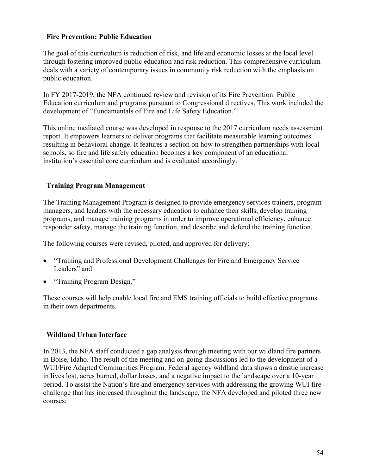#### **Fire Prevention: Public Education**

The goal of this curriculum is reduction of risk, and life and economic losses at the local level through fostering improved public education and risk reduction. This comprehensive curriculum deals with a variety of contemporary issues in community risk reduction with the emphasis on public education.

In FY 2017-2019, the NFA continued review and revision of its Fire Prevention: Public Education curriculum and programs pursuant to Congressional directives. This work included the development of "Fundamentals of Fire and Life Safety Education."

This online mediated course was developed in response to the 2017 curriculum needs assessment report. It empowers learners to deliver programs that facilitate measurable learning outcomes resulting in behavioral change. It features a section on how to strengthen partnerships with local schools, so fire and life safety education becomes a key component of an educational institution's essential core curriculum and is evaluated accordingly.

#### **Training Program Management**

The Training Management Program is designed to provide emergency services trainers, program managers, and leaders with the necessary education to enhance their skills, develop training programs, and manage training programs in order to improve operational efficiency, enhance responder safety, manage the training function, and describe and defend the training function.

The following courses were revised, piloted, and approved for delivery:

- "Training and Professional Development Challenges for Fire and Emergency Service Leaders" and
- "Training Program Design."

These courses will help enable local fire and EMS training officials to build effective programs in their own departments.

#### **Wildland Urban Interface**

In 2013, the NFA staff conducted a gap analysis through meeting with our wildland fire partners in Boise, Idaho. The result of the meeting and on-going discussions led to the development of a WUI/Fire Adapted Communities Program. Federal agency wildland data shows a drastic increase in lives lost, acres burned, dollar losses, and a negative impact to the landscape over a 10-year period. To assist the Nation's fire and emergency services with addressing the growing WUI fire challenge that has increased throughout the landscape, the NFA developed and piloted three new courses: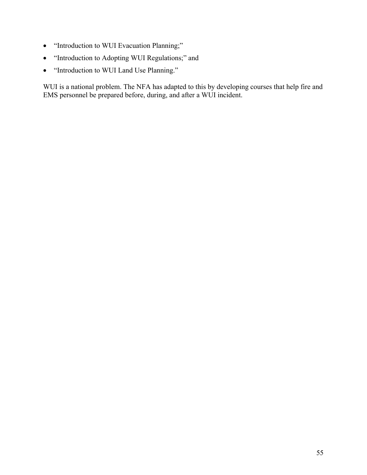- "Introduction to WUI Evacuation Planning;"
- "Introduction to Adopting WUI Regulations;" and
- "Introduction to WUI Land Use Planning."

WUI is a national problem. The NFA has adapted to this by developing courses that help fire and EMS personnel be prepared before, during, and after a WUI incident.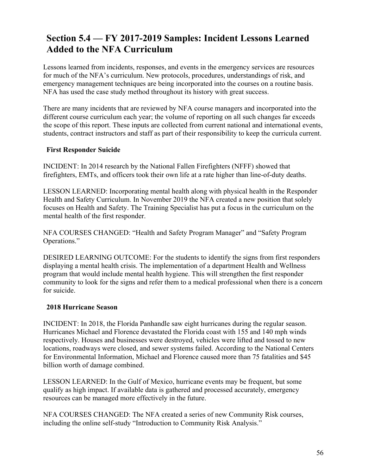### **Section 5.4 — FY 2017-2019 Samples: Incident Lessons Learned Added to the NFA Curriculum**

Lessons learned from incidents, responses, and events in the emergency services are resources for much of the NFA's curriculum. New protocols, procedures, understandings of risk, and emergency management techniques are being incorporated into the courses on a routine basis. NFA has used the case study method throughout its history with great success.

There are many incidents that are reviewed by NFA course managers and incorporated into the different course curriculum each year; the volume of reporting on all such changes far exceeds the scope of this report. These inputs are collected from current national and international events, students, contract instructors and staff as part of their responsibility to keep the curricula current.

#### **First Responder Suicide**

INCIDENT: In 2014 research by the National Fallen Firefighters (NFFF) showed that firefighters, EMTs, and officers took their own life at a rate higher than line-of-duty deaths.

LESSON LEARNED: Incorporating mental health along with physical health in the Responder Health and Safety Curriculum. In November 2019 the NFA created a new position that solely focuses on Health and Safety. The Training Specialist has put a focus in the curriculum on the mental health of the first responder.

NFA COURSES CHANGED: "Health and Safety Program Manager" and "Safety Program Operations."

DESIRED LEARNING OUTCOME: For the students to identify the signs from first responders displaying a mental health crisis. The implementation of a department Health and Wellness program that would include mental health hygiene. This will strengthen the first responder community to look for the signs and refer them to a medical professional when there is a concern for suicide.

#### **2018 Hurricane Season**

INCIDENT: In 2018, the Florida Panhandle saw eight hurricanes during the regular season. Hurricanes Michael and Florence devastated the Florida coast with 155 and 140 mph winds respectively. Houses and businesses were destroyed, vehicles were lifted and tossed to new locations, roadways were closed, and sewer systems failed. According to the National Centers for Environmental Information, Michael and Florence caused more than 75 fatalities and \$45 billion worth of damage combined.

LESSON LEARNED: In the Gulf of Mexico, hurricane events may be frequent, but some qualify as high impact. If available data is gathered and processed accurately, emergency resources can be managed more effectively in the future.

NFA COURSES CHANGED: The NFA created a series of new Community Risk courses, including the online self-study "Introduction to Community Risk Analysis."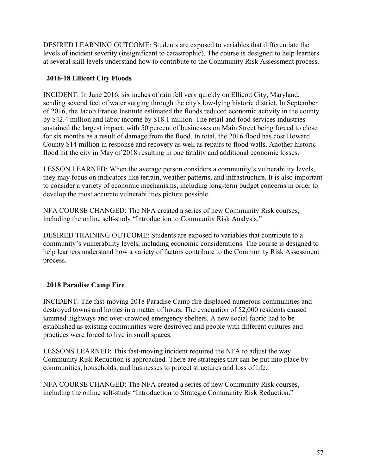DESIRED LEARNING OUTCOME: Students are exposed to variables that differentiate the levels of incident severity (insignificant to catastrophic). The course is designed to help learners at several skill levels understand how to contribute to the Community Risk Assessment process.

#### **2016-18 Ellicott City Floods**

INCIDENT: In June 2016, six inches of rain fell very quickly on Ellicott City, Maryland, sending several feet of water surging through the city's low-lying historic district. In September of 2016, the Jacob France Institute estimated the floods reduced economic activity in the county by \$42.4 million and labor income by \$18.1 million. The retail and food services industries sustained the largest impact, with 50 percent of businesses on Main Street being forced to close for six months as a result of damage from the flood. In total, the 2016 flood has cost Howard County \$14 million in response and recovery as well as repairs to flood walls. Another historic flood hit the city in May of 2018 resulting in one fatality and additional economic losses.

LESSON LEARNED: When the average person considers a community's vulnerability levels, they may focus on indicators like terrain, weather patterns, and infrastructure. It is also important to consider a variety of economic mechanisms, including long-term budget concerns in order to develop the most accurate vulnerabilities picture possible.

NFA COURSE CHANGED: The NFA created a series of new Community Risk courses, including the online self-study "Introduction to Community Risk Analysis."

DESIRED TRAINING OUTCOME: Students are exposed to variables that contribute to a community's vulnerability levels, including economic considerations. The course is designed to help learners understand how a variety of factors contribute to the Community Risk Assessment process.

#### **2018 Paradise Camp Fire**

INCIDENT: The fast-moving 2018 Paradise Camp fire displaced numerous communities and destroyed towns and homes in a matter of hours. The evacuation of 52,000 residents caused jammed highways and over-crowded emergency shelters. A new social fabric had to be established as existing communities were destroyed and people with different cultures and practices were forced to live in small spaces.

LESSONS LEARNED: This fast-moving incident required the NFA to adjust the way Community Risk Reduction is approached. There are strategies that can be put into place by communities, households, and businesses to protect structures and loss of life.

NFA COURSE CHANGED: The NFA created a series of new Community Risk courses, including the online self-study "Introduction to Strategic Community Risk Reduction."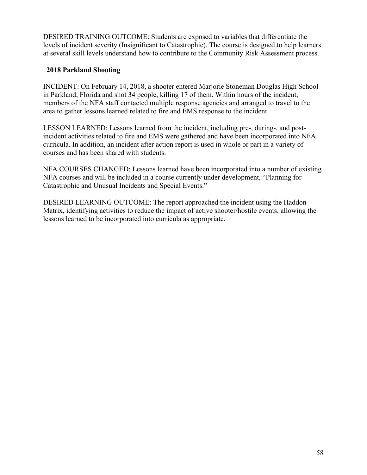DESIRED TRAINING OUTCOME: Students are exposed to variables that differentiate the levels of incident severity (Insignificant to Catastrophic). The course is designed to help learners at several skill levels understand how to contribute to the Community Risk Assessment process.

#### **2018 Parkland Shooting**

INCIDENT: On February 14, 2018, a shooter entered Marjorie Stoneman Douglas High School in Parkland, Florida and shot 34 people, killing 17 of them. Within hours of the incident, members of the NFA staff contacted multiple response agencies and arranged to travel to the area to gather lessons learned related to fire and EMS response to the incident.

LESSON LEARNED: Lessons learned from the incident, including pre-, during-, and postincident activities related to fire and EMS were gathered and have been incorporated into NFA curricula. In addition, an incident after action report is used in whole or part in a variety of courses and has been shared with students.

NFA COURSES CHANGED: Lessons learned have been incorporated into a number of existing NFA courses and will be included in a course currently under development, "Planning for Catastrophic and Unusual Incidents and Special Events."

DESIRED LEARNING OUTCOME: The report approached the incident using the Haddon Matrix, identifying activities to reduce the impact of active shooter/hostile events, allowing the lessons learned to be incorporated into curricula as appropriate.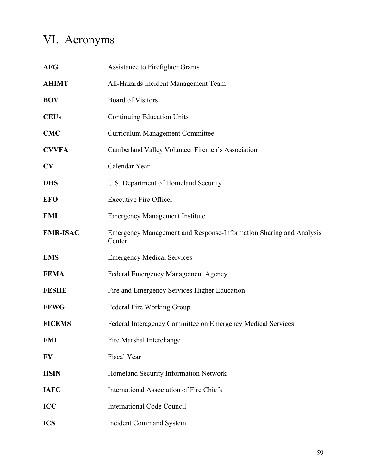# VI. Acronyms

| <b>AFG</b>      | Assistance to Firefighter Grants                                             |
|-----------------|------------------------------------------------------------------------------|
| <b>AHIMT</b>    | All-Hazards Incident Management Team                                         |
| <b>BOV</b>      | <b>Board of Visitors</b>                                                     |
| <b>CEUs</b>     | <b>Continuing Education Units</b>                                            |
| <b>CMC</b>      | <b>Curriculum Management Committee</b>                                       |
| <b>CVVFA</b>    | Cumberland Valley Volunteer Firemen's Association                            |
| CY              | Calendar Year                                                                |
| <b>DHS</b>      | U.S. Department of Homeland Security                                         |
| <b>EFO</b>      | <b>Executive Fire Officer</b>                                                |
| <b>EMI</b>      | <b>Emergency Management Institute</b>                                        |
| <b>EMR-ISAC</b> | Emergency Management and Response-Information Sharing and Analysis<br>Center |
| <b>EMS</b>      | <b>Emergency Medical Services</b>                                            |
| <b>FEMA</b>     | Federal Emergency Management Agency                                          |
| <b>FESHE</b>    | Fire and Emergency Services Higher Education                                 |
| <b>FFWG</b>     | Federal Fire Working Group                                                   |
| <b>FICEMS</b>   | Federal Interagency Committee on Emergency Medical Services                  |
| <b>FMI</b>      | Fire Marshal Interchange                                                     |
| FY              | Fiscal Year                                                                  |
| <b>HSIN</b>     | Homeland Security Information Network                                        |
| <b>IAFC</b>     | <b>International Association of Fire Chiefs</b>                              |
| <b>ICC</b>      | <b>International Code Council</b>                                            |
| <b>ICS</b>      | <b>Incident Command System</b>                                               |